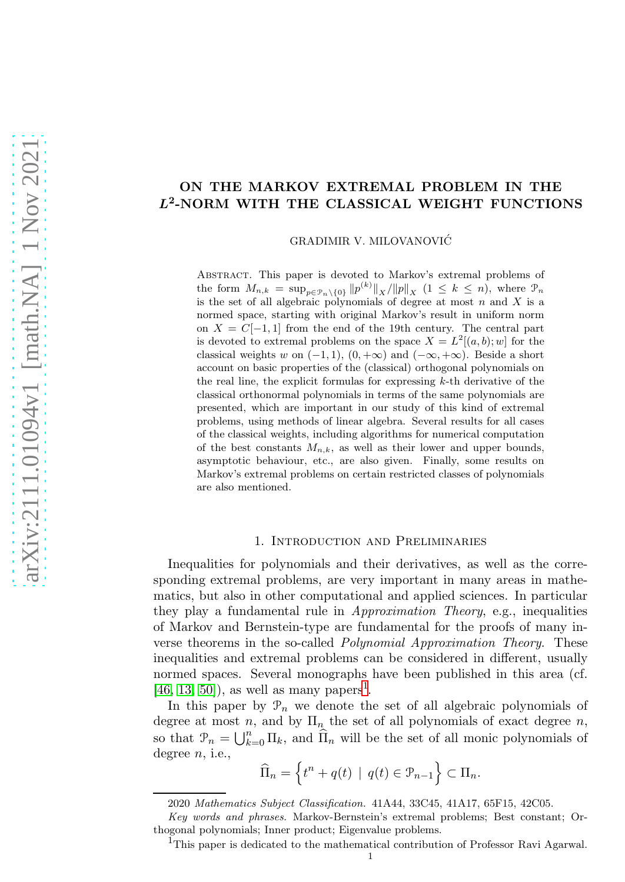# ON THE MARKOV EXTREMAL PROBLEM IN THE L2 -NORM WITH THE CLASSICAL WEIGHT FUNCTIONS

GRADIMIR V. MILOVANOVIC´

Abstract. This paper is devoted to Markov's extremal problems of the form  $M_{n,k} = \sup_{p \in \mathcal{P}_n \setminus \{0\}} \|p^{(k)}\|_X / \|p\|_X \ (1 \leq k \leq n)$ , where  $\mathcal{P}_n$ is the set of all algebraic polynomials of degree at most  $n$  and  $X$  is a normed space, starting with original Markov's result in uniform norm on  $X = C[-1,1]$  from the end of the 19th century. The central part is devoted to extremal problems on the space  $X = L^2[(a, b); w]$  for the classical weights w on  $(-1, 1)$ ,  $(0, +\infty)$  and  $(-\infty, +\infty)$ . Beside a short account on basic properties of the (classical) orthogonal polynomials on the real line, the explicit formulas for expressing  $k$ -th derivative of the classical orthonormal polynomials in terms of the same polynomials are presented, which are important in our study of this kind of extremal problems, using methods of linear algebra. Several results for all cases of the classical weights, including algorithms for numerical computation of the best constants  $M_{n,k}$ , as well as their lower and upper bounds, asymptotic behaviour, etc., are also given. Finally, some results on Markov's extremal problems on certain restricted classes of polynomials are also mentioned.

#### 1. Introduction and Preliminaries

Inequalities for polynomials and their derivatives, as well as the corresponding extremal problems, are very important in many areas in mathematics, but also in other computational and applied sciences. In particular they play a fundamental rule in Approximation Theory, e.g., inequalities of Markov and Bernstein-type are fundamental for the proofs of many inverse theorems in the so-called Polynomial Approximation Theory. These inequalities and extremal problems can be considered in different, usually normed spaces. Several monographs have been published in this area (cf.  $[46, 13, 50]$  $[46, 13, 50]$  $[46, 13, 50]$ , as well as many papers<sup>[1](#page-0-0)</sup>.

In this paper by  $\mathcal{P}_n$  we denote the set of all algebraic polynomials of degree at most n, and by  $\Pi_n$  the set of all polynomials of exact degree n, so that  $\mathcal{P}_n = \bigcup_{k=0}^n \Pi_k$ , and  $\widehat{\Pi}_n$  will be the set of all monic polynomials of degree  $n$ , i.e.,

$$
\widehat{\Pi}_n = \left\{ t^n + q(t) \mid q(t) \in \mathcal{P}_{n-1} \right\} \subset \Pi_n.
$$

<span id="page-0-0"></span><sup>1</sup>This paper is dedicated to the mathematical contribution of Professor Ravi Agarwal.

<sup>2020</sup> Mathematics Subject Classification. 41A44, 33C45, 41A17, 65F15, 42C05.

Key words and phrases. Markov-Bernstein's extremal problems; Best constant; Orthogonal polynomials; Inner product; Eigenvalue problems.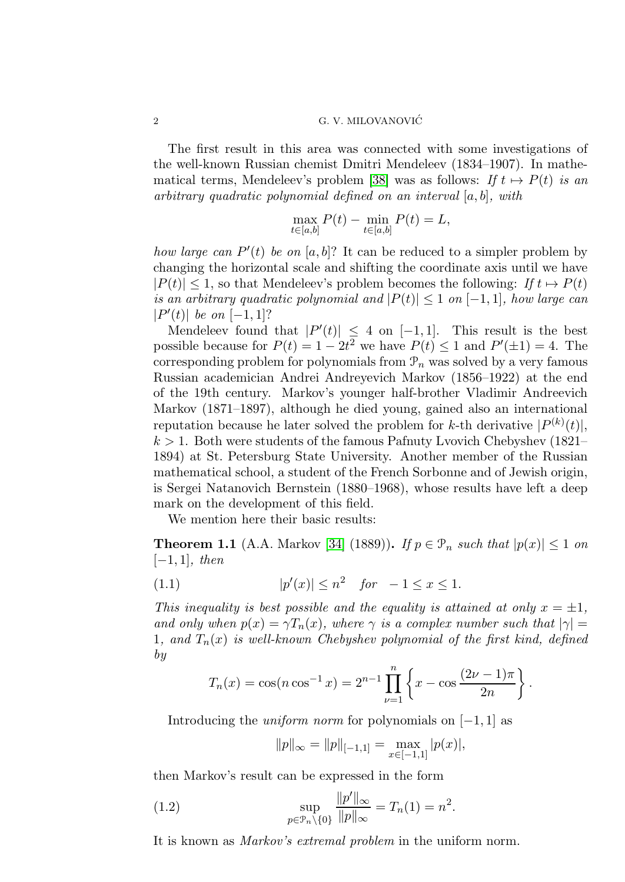The first result in this area was connected with some investigations of the well-known Russian chemist Dmitri Mendeleev (1834–1907). In mathe-matical terms, Mendeleev's problem [\[38\]](#page-34-0) was as follows: If  $t \mapsto P(t)$  is an arbitrary quadratic polynomial defined on an interval  $[a, b]$ , with

$$
\max_{t \in [a,b]} P(t) - \min_{t \in [a,b]} P(t) = L,
$$

how large can  $P'(t)$  be on [a, b]? It can be reduced to a simpler problem by changing the horizontal scale and shifting the coordinate axis until we have  $|P(t)| \leq 1$ , so that Mendeleev's problem becomes the following: If  $t \mapsto P(t)$ is an arbitrary quadratic polynomial and  $|P(t)| \leq 1$  on  $[-1, 1]$ , how large can  $|P'(t)|$  be on  $[-1,1]$ ?

Mendeleev found that  $|P'(t)| \leq 4$  on  $[-1,1]$ . This result is the best possible because for  $P(t) = 1 - 2t^2$  we have  $P(t) \le 1$  and  $P'(\pm 1) = 4$ . The corresponding problem for polynomials from  $\mathcal{P}_n$  was solved by a very famous Russian academician Andrei Andreyevich Markov (1856–1922) at the end of the 19th century. Markov's younger half-brother Vladimir Andreevich Markov (1871–1897), although he died young, gained also an international reputation because he later solved the problem for k-th derivative  $|P^{(k)}(t)|$ ,  $k > 1$ . Both were students of the famous Pafnuty Lvovich Chebyshev (1821– 1894) at St. Petersburg State University. Another member of the Russian mathematical school, a student of the French Sorbonne and of Jewish origin, is Sergei Natanovich Bernstein (1880–1968), whose results have left a deep mark on the development of this field.

We mention here their basic results:

**Theorem 1.1** (A.A. Markov [\[34\]](#page-34-1) (1889)). If  $p \in \mathcal{P}_n$  such that  $|p(x)| \leq 1$  on  $[-1, 1]$ , then

(1.1) 
$$
|p'(x)| \le n^2
$$
 for  $-1 \le x \le 1$ .

This inequality is best possible and the equality is attained at only  $x = \pm 1$ , and only when  $p(x) = \gamma T_n(x)$ , where  $\gamma$  is a complex number such that  $|\gamma| =$ 1, and  $T_n(x)$  is well-known Chebyshev polynomial of the first kind, defined by

$$
T_n(x) = \cos(n \cos^{-1} x) = 2^{n-1} \prod_{\nu=1}^n \left\{ x - \cos \frac{(2\nu - 1)\pi}{2n} \right\}.
$$

Introducing the *uniform norm* for polynomials on  $[-1, 1]$  as

$$
||p||_{\infty} = ||p||_{[-1,1]} = \max_{x \in [-1,1]} |p(x)|,
$$

then Markov's result can be expressed in the form

(1.2) 
$$
\sup_{p \in \mathcal{P}_n \setminus \{0\}} \frac{\|p'\|_{\infty}}{\|p\|_{\infty}} = T_n(1) = n^2.
$$

It is known as Markov's extremal problem in the uniform norm.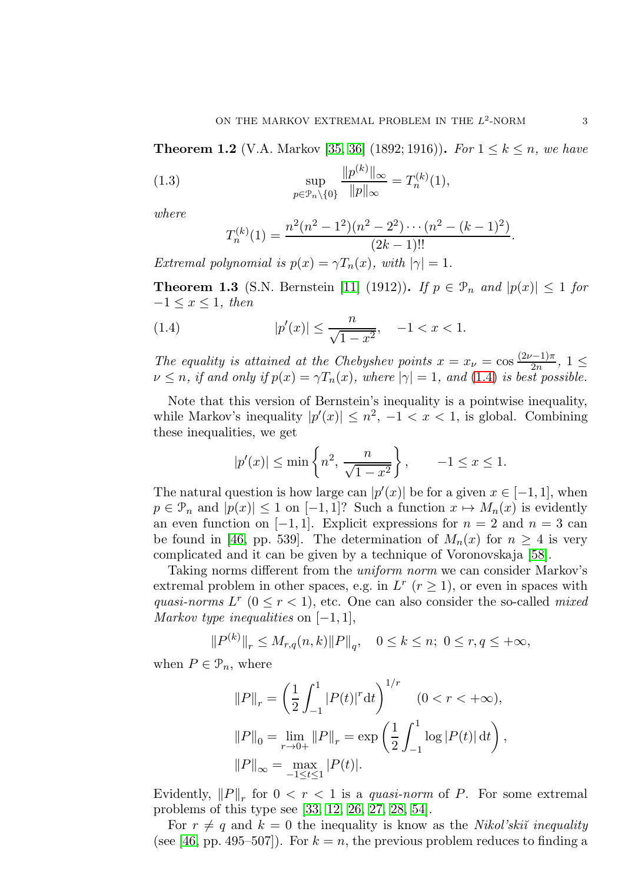**Theorem 1.2** (V.A. Markov [\[35,](#page-34-2) [36\]](#page-34-3) (1892; 1916)). For  $1 \le k \le n$ , we have

(1.3) 
$$
\sup_{p \in \mathcal{P}_n \setminus \{0\}} \frac{\|p^{(k)}\|_{\infty}}{\|p\|_{\infty}} = T_n^{(k)}(1),
$$

where

<span id="page-2-0"></span>
$$
T_n^{(k)}(1) = \frac{n^2(n^2 - 1^2)(n^2 - 2^2) \cdots (n^2 - (k-1)^2)}{(2k-1)!!}.
$$

Extremal polynomial is  $p(x) = \gamma T_n(x)$ , with  $|\gamma| = 1$ .

**Theorem 1.3** (S.N. Bernstein [\[11\]](#page-33-1) (1912)). If  $p \in \mathcal{P}_n$  and  $|p(x)| \leq 1$  for  $-1 \leq x \leq 1$ , then

(1.4) 
$$
|p'(x)| \le \frac{n}{\sqrt{1-x^2}}, \quad -1 < x < 1.
$$

The equality is attained at the Chebyshev points  $x = x_{\nu} = \cos \frac{(2\nu - 1)\pi}{2n}$ ,  $1 \leq$  $\nu \leq n$ , if and only if  $p(x) = \gamma T_n(x)$ , where  $|\gamma| = 1$ , and (1.[4\)](#page-2-0) is best possible.

Note that this version of Bernstein's inequality is a pointwise inequality, while Markov's inequality  $|p'(x)| \leq n^2$ ,  $-1 < x < 1$ , is global. Combining these inequalities, we get

$$
|p'(x)| \le \min\left\{n^2, \frac{n}{\sqrt{1-x^2}}\right\}, \qquad -1 \le x \le 1.
$$

The natural question is how large can  $|p'(x)|$  be for a given  $x \in [-1,1]$ , when  $p \in \mathcal{P}_n$  and  $|p(x)| \leq 1$  on  $[-1, 1]$ ? Such a function  $x \mapsto M_n(x)$  is evidently an even function on  $[-1, 1]$ . Explicit expressions for  $n = 2$  and  $n = 3$  can be found in [\[46,](#page-35-0) pp. 539]. The determination of  $M_n(x)$  for  $n \geq 4$  is very complicated and it can be given by a technique of Voronovskaja [\[58\]](#page-35-2).

Taking norms different from the uniform norm we can consider Markov's extremal problem in other spaces, e.g. in  $L^r$  ( $r \ge 1$ ), or even in spaces with quasi-norms  $L^r$  ( $0 \le r < 1$ ), etc. One can also consider the so-called mixed Markov type inequalities on  $[-1, 1]$ ,

$$
||P^{(k)}||_r \le M_{r,q}(n,k)||P||_q, \quad 0 \le k \le n; \ 0 \le r, q \le +\infty,
$$

when  $P \in \mathcal{P}_n$ , where

$$
||P||_r = \left(\frac{1}{2} \int_{-1}^1 |P(t)|^r dt\right)^{1/r} \quad (0 < r < +\infty),
$$
\n
$$
||P||_0 = \lim_{r \to 0+} ||P||_r = \exp\left(\frac{1}{2} \int_{-1}^1 \log |P(t)| dt\right),
$$
\n
$$
||P||_{\infty} = \max_{-1 \le t \le 1} |P(t)|.
$$

Evidently,  $||P||_r$  for  $0 < r < 1$  is a quasi-norm of P. For some extremal problems of this type see [\[33,](#page-34-4) [12,](#page-33-2) [26,](#page-34-5) [27,](#page-34-6) [28,](#page-34-7) [54\]](#page-35-3).

For  $r \neq q$  and  $k = 0$  the inequality is know as the *Nikol'ski* $\tilde{i}$  inequality (see [\[46,](#page-35-0) pp. 495–507]). For  $k = n$ , the previous problem reduces to finding a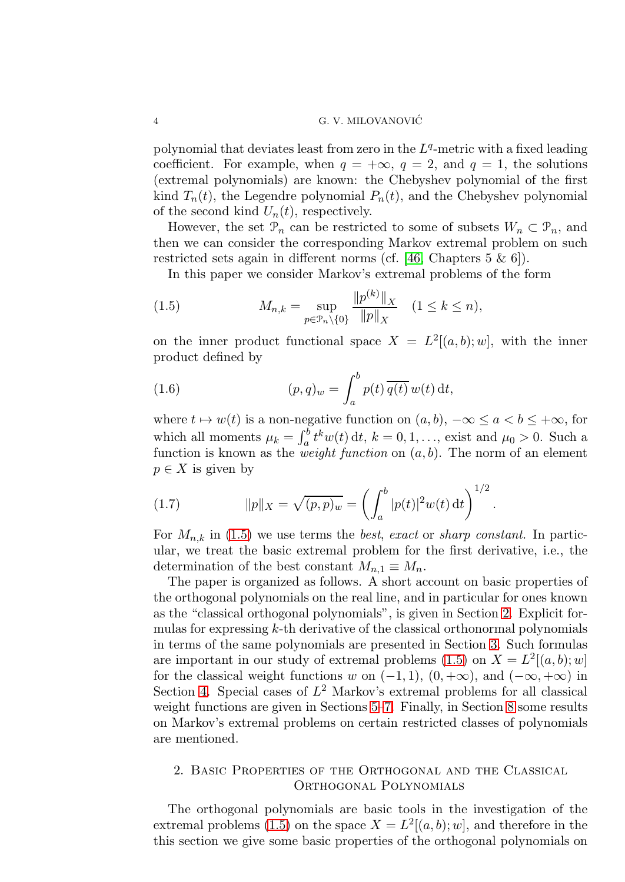polynomial that deviates least from zero in the  $L<sup>q</sup>$ -metric with a fixed leading coefficient. For example, when  $q = +\infty$ ,  $q = 2$ , and  $q = 1$ , the solutions (extremal polynomials) are known: the Chebyshev polynomial of the first kind  $T_n(t)$ , the Legendre polynomial  $P_n(t)$ , and the Chebyshev polynomial of the second kind  $U_n(t)$ , respectively.

However, the set  $\mathcal{P}_n$  can be restricted to some of subsets  $W_n \subset \mathcal{P}_n$ , and then we can consider the corresponding Markov extremal problem on such restricted sets again in different norms (cf. [\[46,](#page-35-0) Chapters 5 & 6]).

<span id="page-3-0"></span>In this paper we consider Markov's extremal problems of the form

(1.5) 
$$
M_{n,k} = \sup_{p \in \mathcal{P}_n \setminus \{0\}} \frac{\|p^{(k)}\|_X}{\|p\|_X} \quad (1 \le k \le n),
$$

on the inner product functional space  $X = L^2[(a, b); w]$ , with the inner product defined by

<span id="page-3-2"></span>(1.6) 
$$
(p,q)_w = \int_a^b p(t) \overline{q(t)} w(t) dt,
$$

where  $t \mapsto w(t)$  is a non-negative function on  $(a, b)$ ,  $-\infty \le a < b \le +\infty$ , for which all moments  $\mu_k = \int_a^b t^k w(t) dt$ ,  $k = 0, 1, ...,$  exist and  $\mu_0 > 0$ . Such a function is known as the *weight function* on  $(a, b)$ . The norm of an element  $p \in X$  is given by

<span id="page-3-3"></span>(1.7) 
$$
||p||_X = \sqrt{(p,p)_w} = \left(\int_a^b |p(t)|^2 w(t) dt\right)^{1/2}.
$$

For  $M_{n,k}$  in [\(1.5\)](#page-3-0) we use terms the *best, exact* or *sharp constant*. In particular, we treat the basic extremal problem for the first derivative, i.e., the determination of the best constant  $M_{n,1} \equiv M_n$ .

The paper is organized as follows. A short account on basic properties of the orthogonal polynomials on the real line, and in particular for ones known as the "classical orthogonal polynomials", is given in Section [2.](#page-3-1) Explicit formulas for expressing k-th derivative of the classical orthonormal polynomials in terms of the same polynomials are presented in Section [3.](#page-7-0) Such formulas are important in our study of extremal problems [\(1.5\)](#page-3-0) on  $X = L^2[(a, b); w]$ for the classical weight functions w on  $(-1, 1)$ ,  $(0, +\infty)$ , and  $(-\infty, +\infty)$  in Section [4.](#page-10-0) Special cases of  $L^2$  Markov's extremal problems for all classical weight functions are given in Sections [5](#page-14-0)[–7.](#page-23-0) Finally, in Section [8](#page-31-0) some results on Markov's extremal problems on certain restricted classes of polynomials are mentioned.

# <span id="page-3-1"></span>2. Basic Properties of the Orthogonal and the Classical Orthogonal Polynomials

The orthogonal polynomials are basic tools in the investigation of the extremal problems [\(1.5\)](#page-3-0) on the space  $X = L^2[(a, b); w]$ , and therefore in the this section we give some basic properties of the orthogonal polynomials on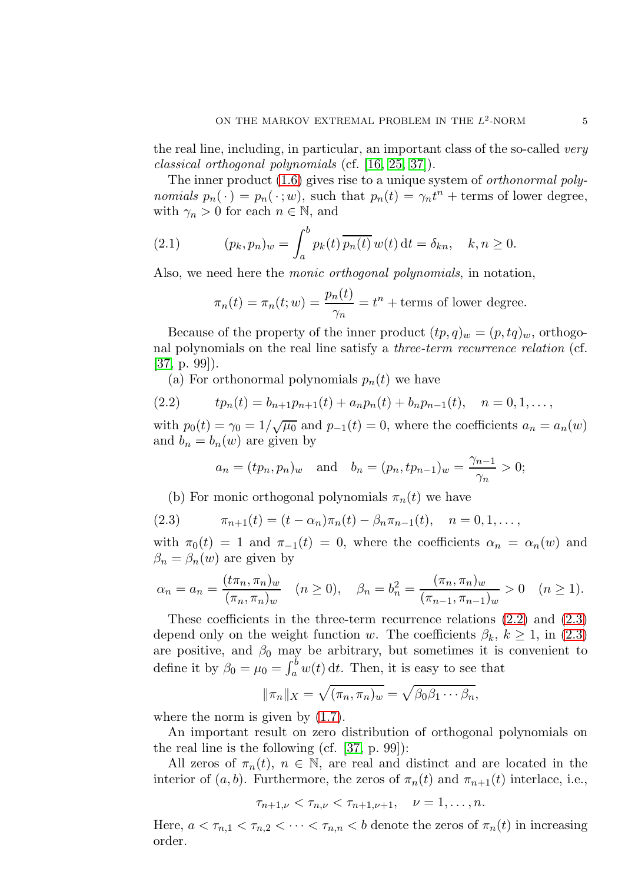the real line, including, in particular, an important class of the so-called very classical orthogonal polynomials (cf. [\[16,](#page-34-8) [25,](#page-34-9) [37\]](#page-34-10)).

The inner product [\(1.6\)](#page-3-2) gives rise to a unique system of *orthonormal poly*nomials  $p_n(\cdot) = p_n(\cdot; w)$ , such that  $p_n(t) = \gamma_n t^n +$  terms of lower degree, with  $\gamma_n > 0$  for each  $n \in \mathbb{N}$ , and

(2.1) 
$$
(p_k, p_n)_w = \int_a^b p_k(t) \, \overline{p_n(t)} \, w(t) \, dt = \delta_{kn}, \quad k, n \ge 0.
$$

Also, we need here the monic orthogonal polynomials, in notation,

$$
\pi_n(t) = \pi_n(t; w) = \frac{p_n(t)}{\gamma_n} = t^n + \text{terms of lower degree.}
$$

Because of the property of the inner product  $(tp, q)_w = (p, tq)_w$ , orthogonal polynomials on the real line satisfy a three-term recurrence relation (cf. [\[37,](#page-34-10) p. 99]).

<span id="page-4-0"></span>(a) For orthonormal polynomials  $p_n(t)$  we have

(2.2) 
$$
tp_n(t) = b_{n+1}p_{n+1}(t) + a_n p_n(t) + b_n p_{n-1}(t), \quad n = 0, 1, \ldots,
$$

with  $p_0(t) = \gamma_0 = 1/\sqrt{\mu_0}$  and  $p_{-1}(t) = 0$ , where the coefficients  $a_n = a_n(w)$ and  $b_n = b_n(w)$  are given by

$$
a_n = (tp_n, p_n)_w
$$
 and  $b_n = (p_n, tp_{n-1})_w = \frac{\gamma_{n-1}}{\gamma_n} > 0;$ 

<span id="page-4-1"></span>(b) For monic orthogonal polynomials  $\pi_n(t)$  we have

(2.3) 
$$
\pi_{n+1}(t) = (t - \alpha_n)\pi_n(t) - \beta_n \pi_{n-1}(t), \quad n = 0, 1, \ldots,
$$

with  $\pi_0(t) = 1$  and  $\pi_{-1}(t) = 0$ , where the coefficients  $\alpha_n = \alpha_n(w)$  and  $\beta_n = \beta_n(w)$  are given by

$$
\alpha_n = a_n = \frac{(t\pi_n, \pi_n)_w}{(\pi_n, \pi_n)_w} \quad (n \ge 0), \quad \beta_n = b_n^2 = \frac{(\pi_n, \pi_n)_w}{(\pi_{n-1}, \pi_{n-1})_w} > 0 \quad (n \ge 1).
$$

These coefficients in the three-term recurrence relations [\(2.2\)](#page-4-0) and [\(2.3\)](#page-4-1) depend only on the weight function w. The coefficients  $\beta_k$ ,  $k \geq 1$ , in [\(2.3\)](#page-4-1) are positive, and  $\beta_0$  may be arbitrary, but sometimes it is convenient to define it by  $\beta_0 = \mu_0 = \int_a^b w(t) dt$ . Then, it is easy to see that

$$
\|\pi_n\|_X=\sqrt{(\pi_n,\pi_n)_w}=\sqrt{\beta_0\beta_1\cdots\beta_n},
$$

where the norm is given by [\(1.7\)](#page-3-3).

An important result on zero distribution of orthogonal polynomials on the real line is the following (cf. [\[37,](#page-34-10) p. 99]):

All zeros of  $\pi_n(t)$ ,  $n \in \mathbb{N}$ , are real and distinct and are located in the interior of  $(a, b)$ . Furthermore, the zeros of  $\pi_n(t)$  and  $\pi_{n+1}(t)$  interlace, i.e.,

$$
\tau_{n+1,\nu} < \tau_{n,\nu} < \tau_{n+1,\nu+1}, \quad \nu = 1, \ldots, n.
$$

Here,  $a < \tau_{n,1} < \tau_{n,2} < \cdots < \tau_{n,n} < b$  denote the zeros of  $\pi_n(t)$  in increasing order.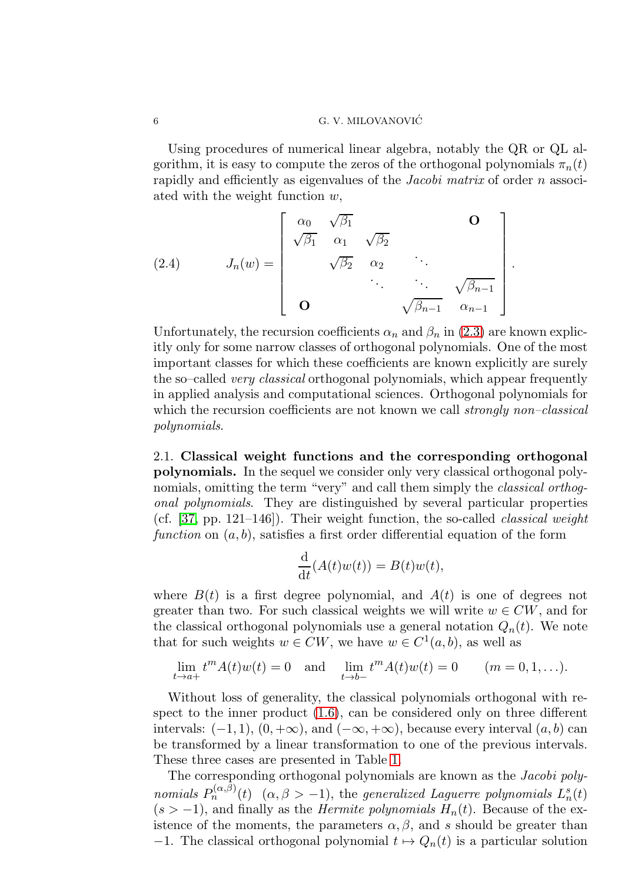Using procedures of numerical linear algebra, notably the QR or QL algorithm, it is easy to compute the zeros of the orthogonal polynomials  $\pi_n(t)$ rapidly and efficiently as eigenvalues of the Jacobi matrix of order n associated with the weight function w,

.

<span id="page-5-0"></span>(2.4) 
$$
J_n(w) = \begin{bmatrix} \alpha_0 & \sqrt{\beta_1} & & \mathbf{O} \\ \sqrt{\beta_1} & \alpha_1 & \sqrt{\beta_2} & & \\ & \sqrt{\beta_2} & \alpha_2 & \ddots & \\ & & \ddots & \ddots & \sqrt{\beta_{n-1}} \\ \mathbf{O} & & & \sqrt{\beta_{n-1}} & \alpha_{n-1} \end{bmatrix}
$$

Unfortunately, the recursion coefficients  $\alpha_n$  and  $\beta_n$  in [\(2.3\)](#page-4-1) are known explicitly only for some narrow classes of orthogonal polynomials. One of the most important classes for which these coefficients are known explicitly are surely the so–called very classical orthogonal polynomials, which appear frequently in applied analysis and computational sciences. Orthogonal polynomials for which the recursion coefficients are not known we call *strongly non–classical* polynomials.

2.1. Classical weight functions and the corresponding orthogonal polynomials. In the sequel we consider only very classical orthogonal polynomials, omitting the term "very" and call them simply the *classical orthog*onal polynomials. They are distinguished by several particular properties (cf.  $[37, pp. 121-146]$ ). Their weight function, the so-called *classical weight* function on  $(a, b)$ , satisfies a first order differential equation of the form

$$
\frac{\mathrm{d}}{\mathrm{d}t}(A(t)w(t)) = B(t)w(t),
$$

where  $B(t)$  is a first degree polynomial, and  $A(t)$  is one of degrees not greater than two. For such classical weights we will write  $w \in CW$ , and for the classical orthogonal polynomials use a general notation  $Q_n(t)$ . We note that for such weights  $w \in CW$ , we have  $w \in C^1(a, b)$ , as well as

$$
\lim_{t \to a+} t^m A(t) w(t) = 0 \text{ and } \lim_{t \to b-} t^m A(t) w(t) = 0 \quad (m = 0, 1, ...).
$$

Without loss of generality, the classical polynomials orthogonal with respect to the inner product [\(1.6\)](#page-3-2), can be considered only on three different intervals:  $(-1, 1)$ ,  $(0, +\infty)$ , and  $(-\infty, +\infty)$ , because every interval  $(a, b)$  can be transformed by a linear transformation to one of the previous intervals. These three cases are presented in Table [1.](#page-6-0)

The corresponding orthogonal polynomials are known as the *Jacobi poly*nomials  $P_n^{(\alpha,\beta)}(t)$   $(\alpha,\beta > -1)$ , the generalized Laguerre polynomials  $L_n^s(t)$  $(s > -1)$ , and finally as the *Hermite polynomials*  $H_n(t)$ . Because of the existence of the moments, the parameters  $\alpha, \beta$ , and s should be greater than  $-1$ . The classical orthogonal polynomial  $t \mapsto Q_n(t)$  is a particular solution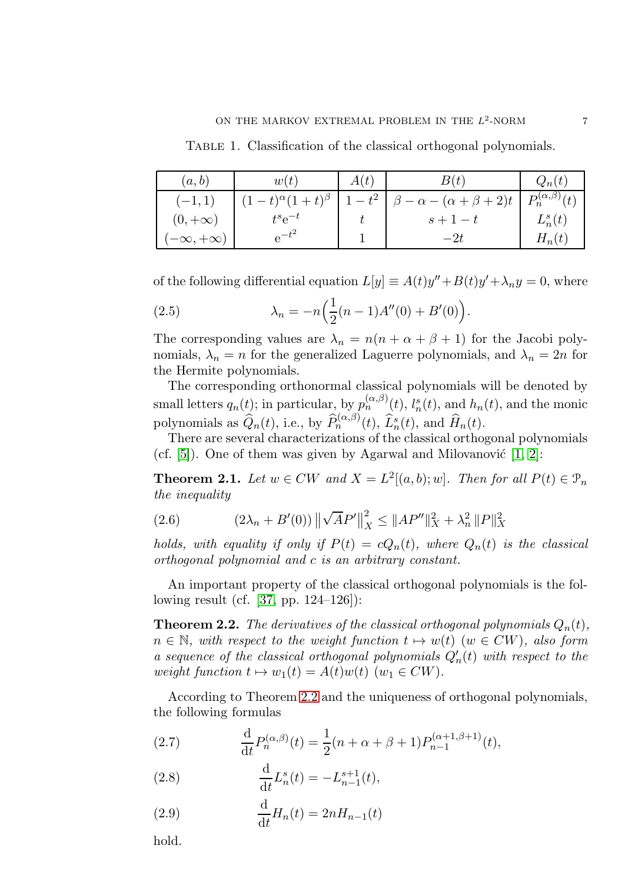<span id="page-6-0"></span>TABLE 1. Classification of the classical orthogonal polynomials.

| (a,b)               | w(t)                          | A(t) | B(t)                              | $Q_n(t)$                  |
|---------------------|-------------------------------|------|-----------------------------------|---------------------------|
| $(-1,1)$            | $(1-t)^{\alpha}(1+t)^{\beta}$ |      | $-\alpha - (\alpha + \beta + 2)t$ | $P_n^{(\alpha,\beta)}(t)$ |
| $(0, +\infty)$      | $t^s e^{-t}$                  |      | $s+1-t$                           | $L_n^s(t)$                |
| $-\infty, +\infty)$ | $e^{-t}$                      |      | $-2t$                             | $H_n(t)$                  |

of the following differential equation  $L[y] \equiv A(t)y'' + B(t)y' + \lambda_n y = 0$ , where

(2.5) 
$$
\lambda_n = -n \Big( \frac{1}{2} (n-1) A''(0) + B'(0) \Big).
$$

The corresponding values are  $\lambda_n = n(n + \alpha + \beta + 1)$  for the Jacobi polynomials,  $\lambda_n = n$  for the generalized Laguerre polynomials, and  $\lambda_n = 2n$  for the Hermite polynomials.

The corresponding orthonormal classical polynomials will be denoted by small letters  $q_n(t)$ ; in particular, by  $p_n^{(\alpha,\beta)}(t)$ ,  $l_n^s(t)$ , and  $h_n(t)$ , and the monic polynomials as  $\widehat{Q}_n(t)$ , i.e., by  $\widehat{P}_n^{(\alpha,\beta)}(t)$ ,  $\widehat{L}_n^{s}(t)$ , and  $\widehat{H}_n(t)$ .

There are several characterizations of the classical orthogonal polynomials (cf.  $[5]$ ). One of them was given by Agarwal and Milovanović  $[1, 2]$  $[1, 2]$ :

**Theorem 2.1.** Let  $w \in CW$  and  $X = L^2[(a, b); w]$ . Then for all  $P(t) \in \mathcal{P}_n$ the inequality

(2.6) 
$$
(2\lambda_n + B'(0)) \left\| \sqrt{A}P' \right\|_X^2 \le \|AP''\|_X^2 + \lambda_n^2 \|P\|_X^2
$$

holds, with equality if only if  $P(t) = cQ_n(t)$ , where  $Q_n(t)$  is the classical orthogonal polynomial and c is an arbitrary constant.

An important property of the classical orthogonal polynomials is the following result (cf. [\[37,](#page-34-10) pp. 124–126]):

<span id="page-6-1"></span>**Theorem 2.2.** The derivatives of the classical orthogonal polynomials  $Q_n(t)$ ,  $n \in \mathbb{N}$ , with respect to the weight function  $t \mapsto w(t)$  ( $w \in CW$ ), also form a sequence of the classical orthogonal polynomials  $Q'_n(t)$  with respect to the weight function  $t \mapsto w_1(t) = A(t)w(t)$  ( $w_1 \in CW$ ).

According to Theorem [2.2](#page-6-1) and the uniqueness of orthogonal polynomials, the following formulas

<span id="page-6-4"></span>(2.7) 
$$
\frac{\mathrm{d}}{\mathrm{d}t} P_n^{(\alpha,\beta)}(t) = \frac{1}{2}(n+\alpha+\beta+1)P_{n-1}^{(\alpha+1,\beta+1)}(t),
$$

<span id="page-6-3"></span>(2.8) 
$$
\frac{d}{dt}L_n^s(t) = -L_{n-1}^{s+1}(t),
$$

<span id="page-6-2"></span>(2.9) 
$$
\frac{\mathrm{d}}{\mathrm{d}t}H_n(t) = 2nH_{n-1}(t)
$$

hold.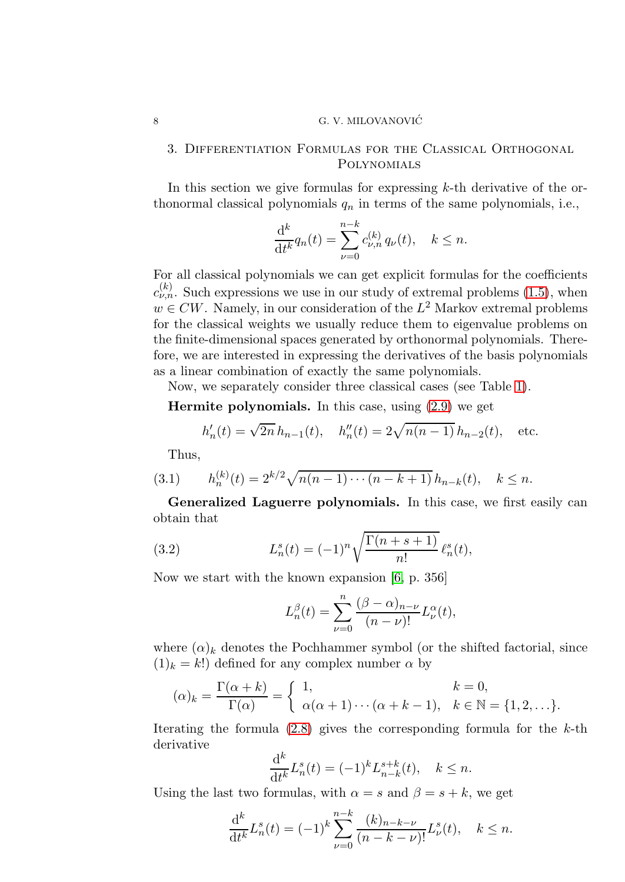## 3. Differentiation Formulas for the Classical Orthogonal Polynomials

In this section we give formulas for expressing  $k$ -th derivative of the orthonormal classical polynomials  $q_n$  in terms of the same polynomials, i.e.,

$$
\frac{\mathrm{d}^k}{\mathrm{d}t^k} q_n(t) = \sum_{\nu=0}^{n-k} c_{\nu,n}^{(k)} q_{\nu}(t), \quad k \le n.
$$

For all classical polynomials we can get explicit formulas for the coefficients  $c_{\nu,n}^{(k)}$ . Such expressions we use in our study of extremal problems [\(1.5\)](#page-3-0), when  $w \in CW$ . Namely, in our consideration of the  $L^2$  Markov extremal problems for the classical weights we usually reduce them to eigenvalue problems on the finite-dimensional spaces generated by orthonormal polynomials. Therefore, we are interested in expressing the derivatives of the basis polynomials as a linear combination of exactly the same polynomials.

Now, we separately consider three classical cases (see Table [1\)](#page-6-0).

**Hermite polynomials.** In this case, using  $(2.9)$  we get

$$
h'_n(t) = \sqrt{2n} h_{n-1}(t), \quad h''_n(t) = 2\sqrt{n(n-1)} h_{n-2}(t), \quad \text{etc.}
$$

<span id="page-7-2"></span>Thus,

(3.1) 
$$
h_n^{(k)}(t) = 2^{k/2} \sqrt{n(n-1)\cdots(n-k+1)} h_{n-k}(t), \quad k \le n.
$$

Generalized Laguerre polynomials. In this case, we first easily can obtain that

(3.2) 
$$
L_n^s(t) = (-1)^n \sqrt{\frac{\Gamma(n+s+1)}{n!}} \,\ell_n^s(t),
$$

Now we start with the known expansion [\[6,](#page-33-6) p. 356]

<span id="page-7-1"></span>
$$
L_n^{\beta}(t) = \sum_{\nu=0}^n \frac{(\beta - \alpha)_{n-\nu}}{(n-\nu)!} L_{\nu}^{\alpha}(t),
$$

where  $(\alpha)_k$  denotes the Pochhammer symbol (or the shifted factorial, since  $(1)_k = k!$ ) defined for any complex number  $\alpha$  by

$$
(\alpha)_k = \frac{\Gamma(\alpha + k)}{\Gamma(\alpha)} = \begin{cases} 1, & k = 0, \\ \alpha(\alpha + 1) \cdots (\alpha + k - 1), & k \in \mathbb{N} = \{1, 2, \dots\}. \end{cases}
$$

Iterating the formula  $(2.8)$  gives the corresponding formula for the k-th derivative

$$
\frac{\mathrm{d}^k}{\mathrm{d}t^k}L_n^s(t) = (-1)^k L_{n-k}^{s+k}(t), \quad k \le n.
$$

Using the last two formulas, with  $\alpha = s$  and  $\beta = s + k$ , we get

$$
\frac{\mathrm{d}^k}{\mathrm{d}t^k}L_n^s(t) = (-1)^k \sum_{\nu=0}^{n-k} \frac{(k)_{n-k-\nu}}{(n-k-\nu)!} L_\nu^s(t), \quad k \le n.
$$

<span id="page-7-0"></span>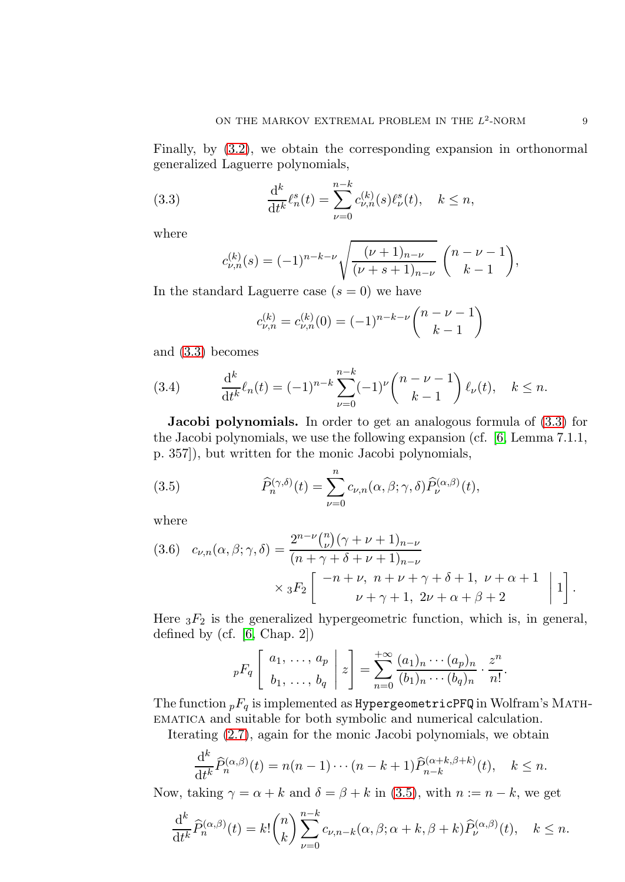Finally, by [\(3.2\)](#page-7-1), we obtain the corresponding expansion in orthonormal generalized Laguerre polynomials,

(3.3) 
$$
\frac{d^k}{dt^k} \ell_n^s(t) = \sum_{\nu=0}^{n-k} c_{\nu,n}^{(k)}(s) \ell_\nu^s(t), \quad k \le n,
$$

where

<span id="page-8-0"></span>
$$
c_{\nu,n}^{(k)}(s) = (-1)^{n-k-\nu} \sqrt{\frac{(\nu+1)_{n-\nu}}{(\nu+s+1)_{n-\nu}}} \binom{n-\nu-1}{k-1},
$$

In the standard Laguerre case  $(s = 0)$  we have

$$
c_{\nu,n}^{(k)} = c_{\nu,n}^{(k)}(0) = (-1)^{n-k-\nu} \binom{n-\nu-1}{k-1}
$$

and [\(3.3\)](#page-8-0) becomes

<span id="page-8-2"></span>(3.4) 
$$
\frac{d^k}{dt^k} \ell_n(t) = (-1)^{n-k} \sum_{\nu=0}^{n-k} (-1)^{\nu} \binom{n-\nu-1}{k-1} \ell_{\nu}(t), \quad k \le n.
$$

**Jacobi polynomials.** In order to get an analogous formula of  $(3.3)$  for the Jacobi polynomials, we use the following expansion (cf. [\[6,](#page-33-6) Lemma 7.1.1, p. 357]), but written for the monic Jacobi polynomials,

<span id="page-8-1"></span>(3.5) 
$$
\widehat{P}_n^{(\gamma,\delta)}(t) = \sum_{\nu=0}^n c_{\nu,n}(\alpha,\beta;\gamma,\delta) \widehat{P}_\nu^{(\alpha,\beta)}(t),
$$

where

<span id="page-8-3"></span>(3.6) 
$$
c_{\nu,n}(\alpha,\beta;\gamma,\delta) = \frac{2^{n-\nu} {n \choose \nu} (\gamma + \nu + 1)_{n-\nu}}{(n + \gamma + \delta + \nu + 1)_{n-\nu}} \times {}_3F_2 \left[ \begin{array}{c} -n + \nu, \ n + \nu + \gamma + \delta + 1, \ \nu + \alpha + 1 \\ \nu + \gamma + 1, \ 2\nu + \alpha + \beta + 2 \end{array} \bigg| 1 \right].
$$

Here  ${}_{3}F_2$  is the generalized hypergeometric function, which is, in general, defined by (cf. [\[6,](#page-33-6) Chap. 2])

$$
{}_pF_q\left[\begin{array}{c}a_1,\ldots,a_p\\b_1,\ldots,b_q\end{array}\bigg|\,z\right]=\sum_{n=0}^{+\infty}\frac{(a_1)_n\cdots(a_p)_n}{(b_1)_n\cdots(b_q)_n}\cdot\frac{z^n}{n!}.
$$

The function  $pF_q$  is implemented as HypergeometricPFQ in Wolfram's MATHematica and suitable for both symbolic and numerical calculation.

Iterating [\(2.7\)](#page-6-4), again for the monic Jacobi polynomials, we obtain

$$
\frac{\mathrm{d}^k}{\mathrm{d}t^k} \widehat{P}_n^{(\alpha,\beta)}(t) = n(n-1)\cdots(n-k+1)\widehat{P}_{n-k}^{(\alpha+k,\beta+k)}(t), \quad k \le n.
$$

Now, taking  $\gamma = \alpha + k$  and  $\delta = \beta + k$  in [\(3.5\)](#page-8-1), with  $n := n - k$ , we get

$$
\frac{\mathrm{d}^k}{\mathrm{d}t^k} \widehat{P}_n^{(\alpha,\beta)}(t) = k! \binom{n}{k} \sum_{\nu=0}^{n-k} c_{\nu,n-k}(\alpha,\beta;\alpha+k,\beta+k) \widehat{P}_\nu^{(\alpha,\beta)}(t), \quad k \le n.
$$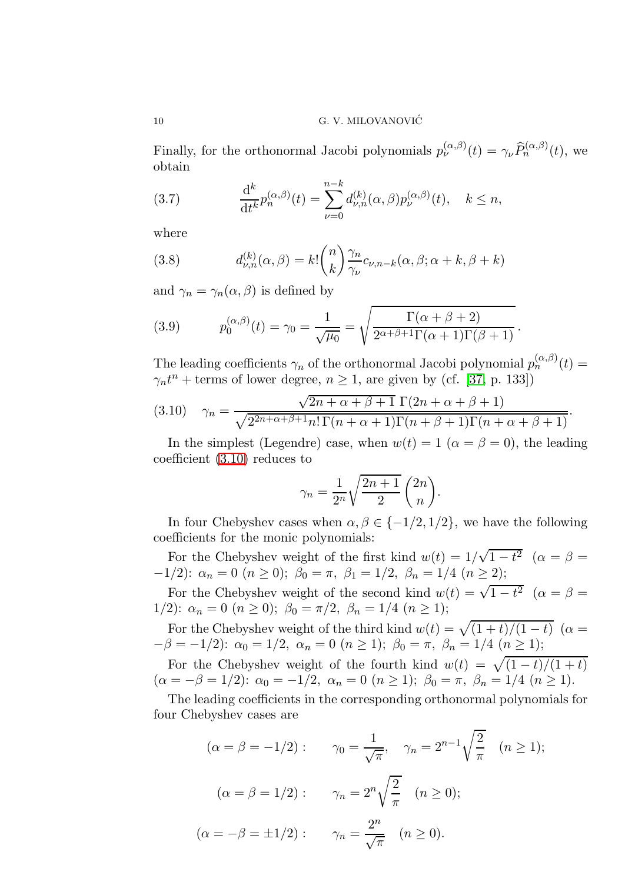Finally, for the orthonormal Jacobi polynomials  $p_{\nu}^{(\alpha,\beta)}(t) = \gamma_{\nu} \widehat{P}_n^{(\alpha,\beta)}(t)$ , we obtain

<span id="page-9-1"></span>(3.7) 
$$
\frac{d^k}{dt^k} p_n^{(\alpha,\beta)}(t) = \sum_{\nu=0}^{n-k} d_{\nu,n}^{(k)}(\alpha,\beta) p_{\nu}^{(\alpha,\beta)}(t), \quad k \le n,
$$

where

<span id="page-9-2"></span>(3.8) 
$$
d_{\nu,n}^{(k)}(\alpha,\beta) = k! \binom{n}{k} \frac{\gamma_n}{\gamma_{\nu}} c_{\nu,n-k}(\alpha,\beta;\alpha+k,\beta+k)
$$

and  $\gamma_n = \gamma_n(\alpha, \beta)$  is defined by

<span id="page-9-3"></span>(3.9) 
$$
p_0^{(\alpha,\beta)}(t) = \gamma_0 = \frac{1}{\sqrt{\mu_0}} = \sqrt{\frac{\Gamma(\alpha+\beta+2)}{2^{\alpha+\beta+1}\Gamma(\alpha+1)\Gamma(\beta+1)}}.
$$

The leading coefficients  $\gamma_n$  of the orthonormal Jacobi polynomial  $p_n^{(\alpha,\beta)}(t) =$  $\gamma_n t^n$  + terms of lower degree,  $n \ge 1$ , are given by (cf. [\[37,](#page-34-10) p. 133])

<span id="page-9-0"></span>(3.10) 
$$
\gamma_n = \frac{\sqrt{2n + \alpha + \beta + 1} \Gamma(2n + \alpha + \beta + 1)}{\sqrt{2^{2n + \alpha + \beta + 1} n! \Gamma(n + \alpha + 1) \Gamma(n + \beta + 1) \Gamma(n + \alpha + \beta + 1)}}.
$$

In the simplest (Legendre) case, when  $w(t) = 1$  ( $\alpha = \beta = 0$ ), the leading coefficient [\(3.10\)](#page-9-0) reduces to

$$
\gamma_n = \frac{1}{2^n} \sqrt{\frac{2n+1}{2}} \binom{2n}{n}.
$$

In four Chebyshev cases when  $\alpha, \beta \in \{-1/2, 1/2\}$ , we have the following coefficients for the monic polynomials:

For the Chebyshev weight of the first kind  $w(t) = 1/\sqrt{1-t^2}$   $(\alpha = \beta =$  $-1/2$ :  $\alpha_n = 0$   $(n \ge 0)$ ;  $\beta_0 = \pi$ ,  $\beta_1 = 1/2$ ,  $\beta_n = 1/4$   $(n \ge 2)$ ;

For the Chebyshev weight of the second kind  $w(t) = \sqrt{1-t^2}$   $(\alpha = \beta =$ 1/2):  $\alpha_n = 0$   $(n \ge 0)$ ;  $\beta_0 = \pi/2$ ,  $\beta_n = 1/4$   $(n \ge 1)$ ;

For the Chebyshev weight of the third kind  $w(t) = \sqrt{(1 + t)/(1 - t)}$  ( $\alpha =$  $-\beta = -1/2$ :  $\alpha_0 = 1/2$ ,  $\alpha_n = 0$   $(n \ge 1)$ ;  $\beta_0 = \pi$ ,  $\beta_n = 1/4$   $(n \ge 1)$ ;

For the Chebyshev weight of the fourth kind  $w(t) = \sqrt{(1-t)/(1+t)}$  $(\alpha = -\beta = 1/2)$ :  $\alpha_0 = -1/2$ ,  $\alpha_n = 0$   $(n \ge 1)$ ;  $\beta_0 = \pi$ ,  $\beta_n = 1/4$   $(n \ge 1)$ .

The leading coefficients in the corresponding orthonormal polynomials for four Chebyshev cases are

$$
(\alpha = \beta = -1/2) : \qquad \gamma_0 = \frac{1}{\sqrt{\pi}}, \quad \gamma_n = 2^{n-1} \sqrt{\frac{2}{\pi}} \quad (n \ge 1);
$$
  

$$
(\alpha = \beta = 1/2) : \qquad \gamma_n = 2^n \sqrt{\frac{2}{\pi}} \quad (n \ge 0);
$$
  

$$
(\alpha = -\beta = \pm 1/2) : \qquad \gamma_n = \frac{2^n}{\sqrt{\pi}} \quad (n \ge 0).
$$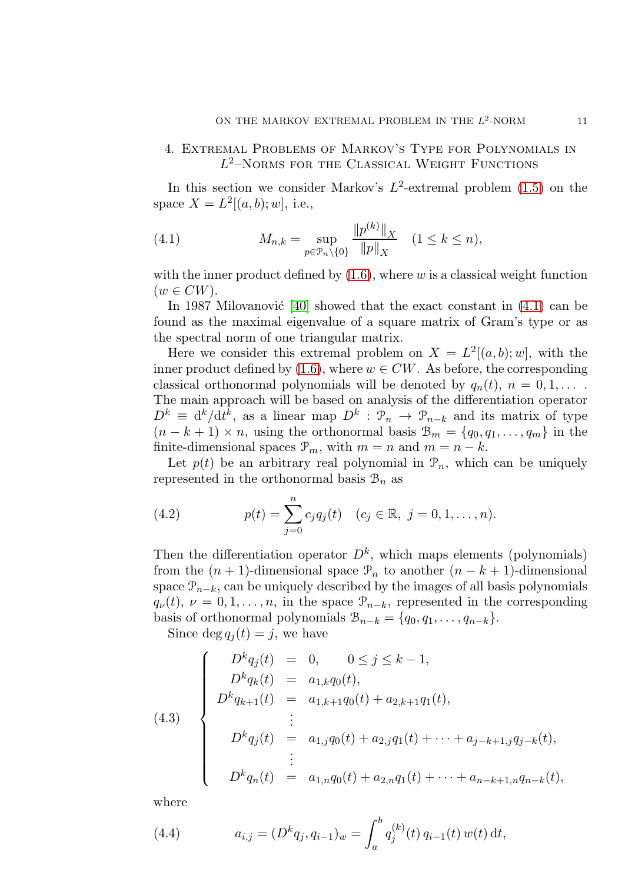# <span id="page-10-0"></span>4. Extremal Problems of Markov's Type for Polynomials in  $L^2$ -Norms for the Classical Weight Functions

In this section we consider Markov's  $L^2$ -extremal problem  $(1.5)$  on the space  $X = L^2[(a, b); w]$ , i.e.,

<span id="page-10-1"></span>(4.1) 
$$
M_{n,k} = \sup_{p \in \mathcal{P}_n \setminus \{0\}} \frac{\|p^{(k)}\|_X}{\|p\|_X} \quad (1 \le k \le n),
$$

with the inner product defined by  $(1.6)$ , where w is a classical weight function  $(w \in CW).$ 

In 1987 Milovanović  $[40]$  showed that the exact constant in  $(4.1)$  can be found as the maximal eigenvalue of a square matrix of Gram's type or as the spectral norm of one triangular matrix.

Here we consider this extremal problem on  $X = L^2[(a, b); w]$ , with the inner product defined by [\(1.6\)](#page-3-2), where  $w \in CW$ . As before, the corresponding classical orthonormal polynomials will be denoted by  $q_n(t)$ ,  $n = 0, 1, \ldots$ . The main approach will be based on analysis of the differentiation operator  $D^k \equiv \mathrm{d}^k/\mathrm{d}t^k$ , as a linear map  $D^k$ :  $\mathcal{P}_n \to \mathcal{P}_{n-k}$  and its matrix of type  $(n - k + 1) \times n$ , using the orthonormal basis  $\mathcal{B}_m = \{q_0, q_1, \ldots, q_m\}$  in the finite-dimensional spaces  $\mathcal{P}_m$ , with  $m = n$  and  $m = n - k$ .

Let  $p(t)$  be an arbitrary real polynomial in  $\mathcal{P}_n$ , which can be uniquely represented in the orthonormal basis  $\mathcal{B}_n$  as

<span id="page-10-2"></span>(4.2) 
$$
p(t) = \sum_{j=0}^{n} c_j q_j(t) \quad (c_j \in \mathbb{R}, \ j = 0, 1, \dots, n).
$$

Then the differentiation operator  $D^k$ , which maps elements (polynomials) from the  $(n + 1)$ -dimensional space  $\mathcal{P}_n$  to another  $(n - k + 1)$ -dimensional space  $\mathcal{P}_{n-k}$ , can be uniquely described by the images of all basis polynomials  $q_{\nu}(t), \nu = 0, 1, \ldots, n$ , in the space  $\mathcal{P}_{n-k}$ , represented in the corresponding basis of orthonormal polynomials  $\mathcal{B}_{n-k} = \{q_0, q_1, \ldots, q_{n-k}\}.$ 

Since deg  $q_i(t) = j$ , we have

(4.3)  

$$
\begin{cases}\nD^k q_j(t) = 0, & 0 \le j \le k - 1, \\
D^k q_k(t) = a_{1,k} q_0(t), \\
D^k q_{k+1}(t) = a_{1,k+1} q_0(t) + a_{2,k+1} q_1(t), \\
\vdots \\
D^k q_j(t) = a_{1,j} q_0(t) + a_{2,j} q_1(t) + \dots + a_{j-k+1,j} q_{j-k}(t), \\
\vdots \\
D^k q_n(t) = a_{1,n} q_0(t) + a_{2,n} q_1(t) + \dots + a_{n-k+1,n} q_{n-k}(t),\n\end{cases}
$$

where

<span id="page-10-3"></span>(4.4) 
$$
a_{i,j} = (D^k q_j, q_{i-1})_w = \int_a^b q_j^{(k)}(t) q_{i-1}(t) w(t) dt,
$$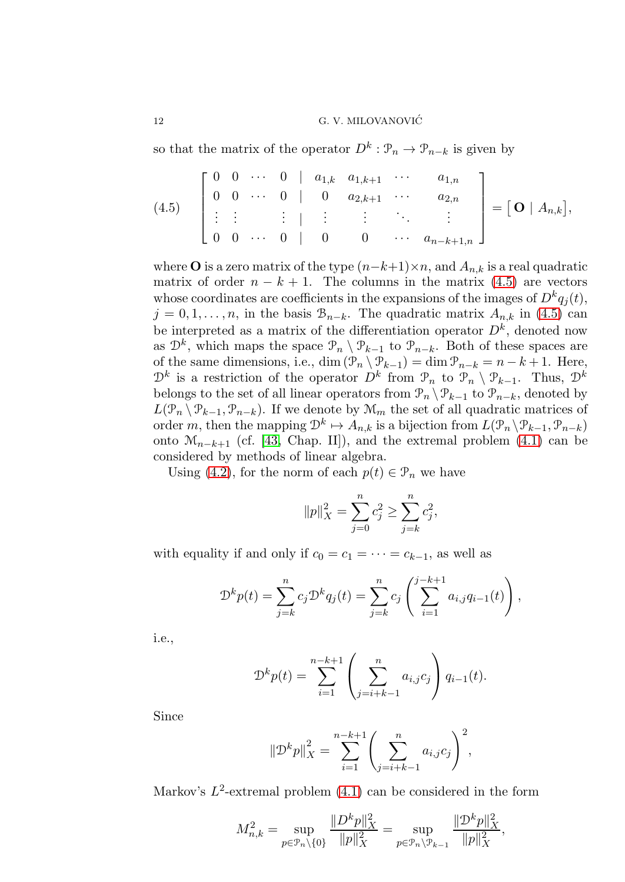so that the matrix of the operator  $D^k: \mathcal{P}_n \to \mathcal{P}_{n-k}$  is given by

<span id="page-11-0"></span>
$$
(4.5) \quad \begin{bmatrix} 0 & 0 & \cdots & 0 & | & a_{1,k} & a_{1,k+1} & \cdots & a_{1,n} \\ 0 & 0 & \cdots & 0 & | & 0 & a_{2,k+1} & \cdots & a_{2,n} \\ \vdots & \vdots & \vdots & \vdots & \vdots & \vdots & \ddots & \vdots \\ 0 & 0 & \cdots & 0 & | & 0 & 0 & \cdots & a_{n-k+1,n} \end{bmatrix} = [\mathbf{O} \mid A_{n,k}],
$$

where **O** is a zero matrix of the type  $(n-k+1)\times n$ , and  $A_{n,k}$  is a real quadratic matrix of order  $n - k + 1$ . The columns in the matrix [\(4.5\)](#page-11-0) are vectors whose coordinates are coefficients in the expansions of the images of  $D^k q_j(t)$ ,  $j = 0, 1, \ldots, n$ , in the basis  $\mathcal{B}_{n-k}$ . The quadratic matrix  $A_{n,k}$  in [\(4.5\)](#page-11-0) can be interpreted as a matrix of the differentiation operator  $D<sup>k</sup>$ , denoted now as  $\mathcal{D}^k$ , which maps the space  $\mathcal{P}_n \setminus \mathcal{P}_{k-1}$  to  $\mathcal{P}_{n-k}$ . Both of these spaces are of the same dimensions, i.e., dim  $(\mathcal{P}_n \setminus \mathcal{P}_{k-1}) = \dim \mathcal{P}_{n-k} = n-k+1$ . Here,  $\mathcal{D}^k$  is a restriction of the operator  $D^k$  from  $\mathcal{P}_n$  to  $\mathcal{P}_n \setminus \mathcal{P}_{k-1}$ . Thus,  $\mathcal{D}^k$ belongs to the set of all linear operators from  $\mathcal{P}_n \setminus \mathcal{P}_{k-1}$  to  $\mathcal{P}_{n-k}$ , denoted by  $L(\mathcal{P}_n \setminus \mathcal{P}_{k-1}, \mathcal{P}_{n-k})$ . If we denote by  $\mathcal{M}_m$  the set of all quadratic matrices of order m, then the mapping  $\mathcal{D}^k \mapsto A_{n,k}$  is a bijection from  $L(\mathcal{P}_n \setminus \mathcal{P}_{k-1}, \mathcal{P}_{n-k})$ onto  $\mathcal{M}_{n-k+1}$  (cf. [\[43,](#page-35-4) Chap. II]), and the extremal problem [\(4.1\)](#page-10-1) can be considered by methods of linear algebra.

Using [\(4.2\)](#page-10-2), for the norm of each  $p(t) \in \mathcal{P}_n$  we have

$$
||p||_X^2 = \sum_{j=0}^n c_j^2 \ge \sum_{j=k}^n c_j^2,
$$

with equality if and only if  $c_0 = c_1 = \cdots = c_{k-1}$ , as well as

$$
\mathcal{D}^{k} p(t) = \sum_{j=k}^{n} c_j \mathcal{D}^{k} q_j(t) = \sum_{j=k}^{n} c_j \left( \sum_{i=1}^{j-k+1} a_{i,j} q_{i-1}(t) \right),
$$

i.e.,

$$
\mathcal{D}^{k} p(t) = \sum_{i=1}^{n-k+1} \left( \sum_{j=i+k-1}^{n} a_{i,j} c_j \right) q_{i-1}(t).
$$

Since

$$
\left\|\mathcal{D}^{k}p\right\|_{X}^{2} = \sum_{i=1}^{n-k+1} \left(\sum_{j=i+k-1}^{n} a_{i,j}c_{j}\right)^{2},
$$

Markov's  $L^2$ -extremal problem  $(4.1)$  can be considered in the form

$$
M_{n,k}^2 = \sup_{p \in \mathcal{P}_n \backslash \{0\}} \frac{\|D^k p\|_X^2}{\|p\|_X^2} = \sup_{p \in \mathcal{P}_n \backslash \mathcal{P}_{k-1}} \frac{\|\mathcal{D}^k p\|_X^2}{\|p\|_X^2},
$$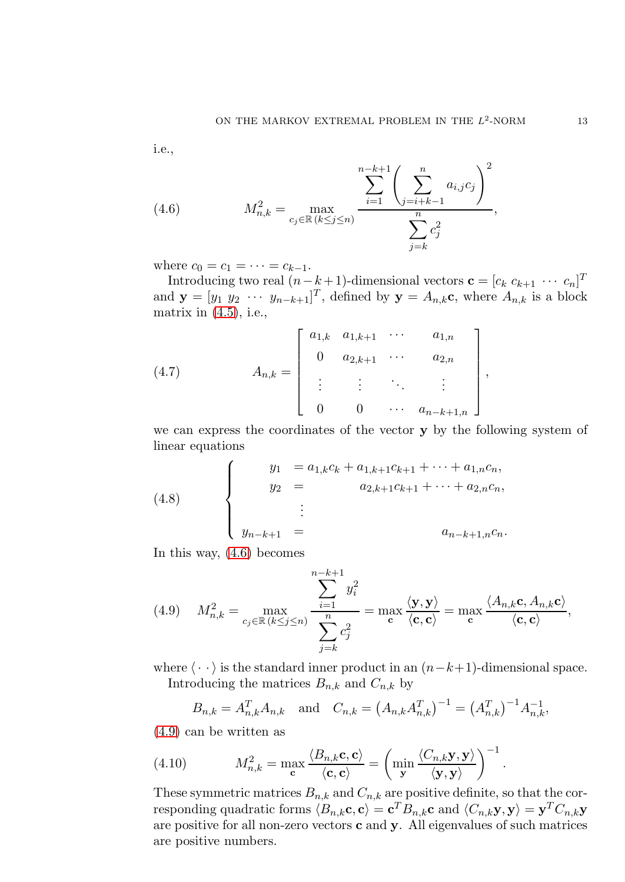i.e.,

<span id="page-12-0"></span>(4.6) 
$$
M_{n,k}^2 = \max_{c_j \in \mathbb{R} \ (k \le j \le n)} \frac{\sum_{i=1}^{n-k+1} \left( \sum_{j=i+k-1}^n a_{i,j} c_j \right)^2}{\sum_{j=k}^n c_j^2},
$$

where  $c_0 = c_1 = \cdots = c_{k-1}$ .

Introducing two real  $(n-k+1)$ -dimensional vectors  $\mathbf{c} = [c_k \ c_{k+1} \ \cdots \ c_n]^T$ and  $\mathbf{y} = [y_1 \ y_2 \ \cdots \ y_{n-k+1}]^T$ , defined by  $\mathbf{y} = A_{n,k} \mathbf{c}$ , where  $A_{n,k}$  is a block matrix in  $(4.5)$ , i.e.,

<span id="page-12-3"></span>(4.7) 
$$
A_{n,k} = \begin{bmatrix} a_{1,k} & a_{1,k+1} & \cdots & a_{1,n} \\ 0 & a_{2,k+1} & \cdots & a_{2,n} \\ \vdots & \vdots & \ddots & \vdots \\ 0 & 0 & \cdots & a_{n-k+1,n} \end{bmatrix},
$$

we can express the coordinates of the vector y by the following system of linear equations

<span id="page-12-4"></span>(4.8) 
$$
\begin{cases}\ny_1 = a_{1,k}c_k + a_{1,k+1}c_{k+1} + \cdots + a_{1,n}c_n, \\
y_2 = a_{2,k+1}c_{k+1} + \cdots + a_{2,n}c_n, \\
\vdots \\
y_{n-k+1} = a_{n-k+1,n}c_n.\n\end{cases}
$$

In this way, [\(4.6\)](#page-12-0) becomes

<span id="page-12-1"></span>(4.9) 
$$
M_{n,k}^2 = \max_{c_j \in \mathbb{R} \ (k \le j \le n)} \frac{\sum_{i=1}^{n-k+1} y_i^2}{\sum_{j=k}^n c_j^2} = \max_{\mathbf{c}} \frac{\langle \mathbf{y}, \mathbf{y} \rangle}{\langle \mathbf{c}, \mathbf{c} \rangle} = \max_{\mathbf{c}} \frac{\langle A_{n,k} \mathbf{c}, A_{n,k} \mathbf{c} \rangle}{\langle \mathbf{c}, \mathbf{c} \rangle},
$$

where  $\langle \cdot \cdot \rangle$  is the standard inner product in an  $(n-k+1)$ -dimensional space. Introducing the matrices  $B_{n,k}$  and  $C_{n,k}$  by

<span id="page-12-2"></span>
$$
B_{n,k} = A_{n,k}^T A_{n,k}
$$
 and  $C_{n,k} = (A_{n,k} A_{n,k}^T)^{-1} = (A_{n,k}^T)^{-1} A_{n,k}^{-1}$ ,

[\(4.9\)](#page-12-1) can be written as

(4.10) 
$$
M_{n,k}^2 = \max_{\mathbf{c}} \frac{\langle B_{n,k} \mathbf{c}, \mathbf{c} \rangle}{\langle \mathbf{c}, \mathbf{c} \rangle} = \left( \min_{\mathbf{y}} \frac{\langle C_{n,k} \mathbf{y}, \mathbf{y} \rangle}{\langle \mathbf{y}, \mathbf{y} \rangle} \right)^{-1}.
$$

These symmetric matrices  $B_{n,k}$  and  $C_{n,k}$  are positive definite, so that the corresponding quadratic forms  $\langle B_{n,k}c, c \rangle = \mathbf{c}^T B_{n,k}c$  and  $\langle C_{n,k} \mathbf{y}, \mathbf{y} \rangle = \mathbf{y}^T C_{n,k} \mathbf{y}$ are positive for all non-zero vectors c and y. All eigenvalues of such matrices are positive numbers.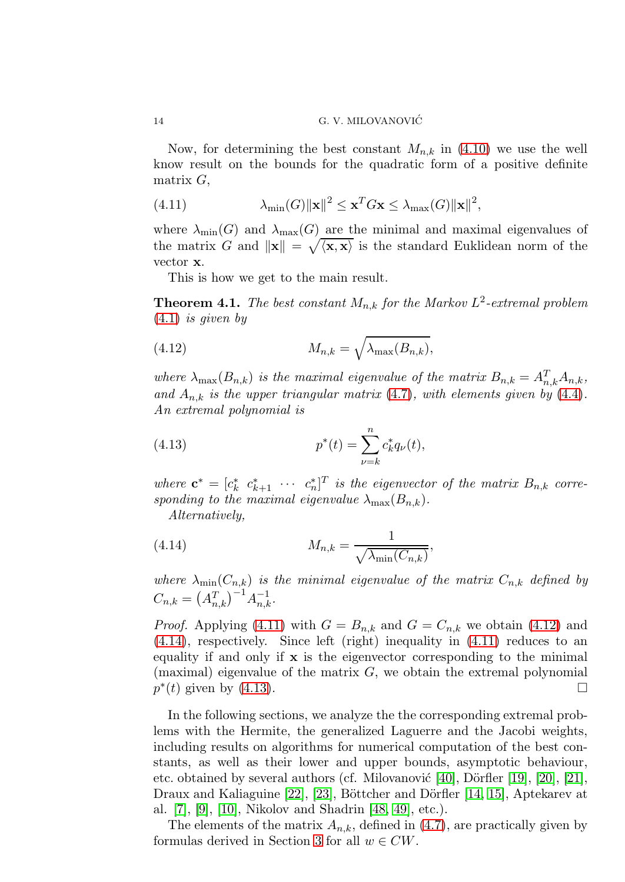Now, for determining the best constant  $M_{n,k}$  in [\(4.10\)](#page-12-2) we use the well know result on the bounds for the quadratic form of a positive definite matrix  $G$ ,

<span id="page-13-0"></span>(4.11) 
$$
\lambda_{\min}(G) \|\mathbf{x}\|^2 \leq \mathbf{x}^T G \mathbf{x} \leq \lambda_{\max}(G) \|\mathbf{x}\|^2,
$$

where  $\lambda_{\min}(G)$  and  $\lambda_{\max}(G)$  are the minimal and maximal eigenvalues of the matrix G and  $\|\mathbf{x}\| = \sqrt{\langle \mathbf{x}, \mathbf{x} \rangle}$  is the standard Euklidean norm of the vector x.

This is how we get to the main result.

<span id="page-13-4"></span>**Theorem 4.1.** The best constant  $M_{n,k}$  for the Markov  $L^2$ -extremal problem  $(4.1)$  $(4.1)$  is given by

<span id="page-13-1"></span>(4.12) 
$$
M_{n,k} = \sqrt{\lambda_{\max}(B_{n,k})},
$$

where  $\lambda_{\max}(B_{n,k})$  is the maximal eigenvalue of the matrix  $B_{n,k} = A_{n,k}^T A_{n,k}$ , and  $A_{n,k}$  is the upper triangular matrix (4.[7\)](#page-12-3), with elements given by (4.[4\)](#page-10-3). An extremal polynomial is

<span id="page-13-3"></span>(4.13) 
$$
p^*(t) = \sum_{\nu=k}^n c_k^* q_{\nu}(t),
$$

where  $\mathbf{c}^* = [c_k^* \ c_{k+1}^* \ \cdots \ c_n^*]^T$  is the eigenvector of the matrix  $B_{n,k}$  corresponding to the maximal eigenvalue  $\lambda_{\max}(B_{n,k}).$ 

<span id="page-13-2"></span>Alternatively,

(4.14) 
$$
M_{n,k} = \frac{1}{\sqrt{\lambda_{\min}(C_{n,k})}},
$$

where  $\lambda_{\min}(C_{n,k})$  is the minimal eigenvalue of the matrix  $C_{n,k}$  defined by  $C_{n,k} = (A_{n,k}^T)^{-1} A_{n,k}^{-1}.$ 

*Proof.* Applying [\(4.11\)](#page-13-0) with  $G = B_{n,k}$  and  $G = C_{n,k}$  we obtain [\(4.12\)](#page-13-1) and [\(4.14\)](#page-13-2), respectively. Since left (right) inequality in [\(4.11\)](#page-13-0) reduces to an equality if and only if  $x$  is the eigenvector corresponding to the minimal (maximal) eigenvalue of the matrix  $G$ , we obtain the extremal polynomial  $p^*(t)$  given by [\(4.13\)](#page-13-3).

In the following sections, we analyze the the corresponding extremal problems with the Hermite, the generalized Laguerre and the Jacobi weights, including results on algorithms for numerical computation of the best constants, as well as their lower and upper bounds, asymptotic behaviour, etc. obtained by several authors (cf. Milovanović [\[40\]](#page-34-11), Dörfler [\[19\]](#page-34-12), [\[20\]](#page-34-13), [\[21\]](#page-34-14), Draux and Kaliaguine [\[22\]](#page-34-15), [\[23\]](#page-34-16), Böttcher and Dörfler [\[14,](#page-33-7) [15\]](#page-33-8), Aptekarev at al. [\[7\]](#page-33-9), [\[9\]](#page-33-10), [\[10\]](#page-33-11), Nikolov and Shadrin [\[48,](#page-35-5) [49\]](#page-35-6), etc.).

The elements of the matrix  $A_{n,k}$ , defined in [\(4.7\)](#page-12-3), are practically given by formulas derived in Section [3](#page-7-0) for all  $w \in CW$ .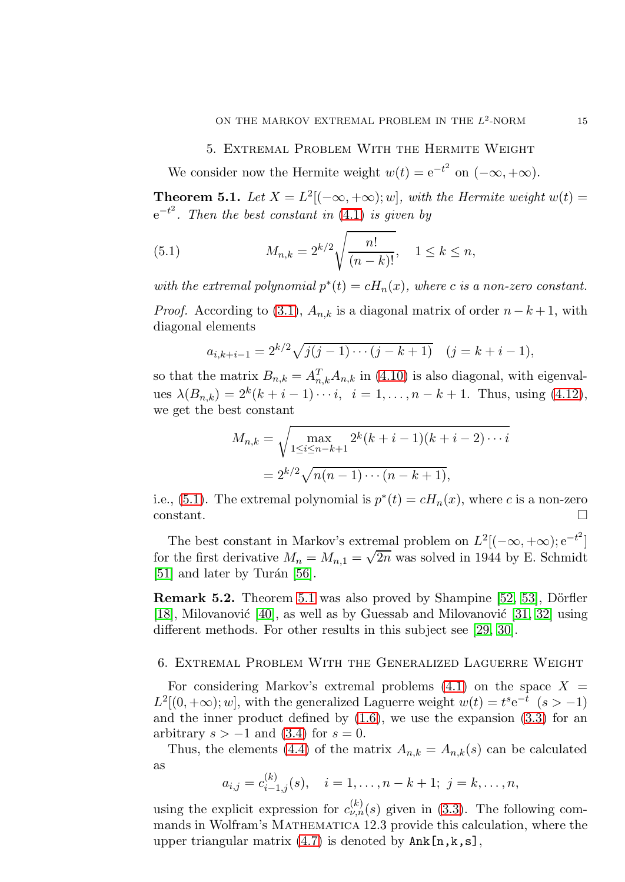#### 5. Extremal Problem With the Hermite Weight

<span id="page-14-0"></span>We consider now the Hermite weight  $w(t) = e^{-t^2}$  on  $(-\infty, +\infty)$ .

<span id="page-14-2"></span>**Theorem 5.1.** Let  $X = L^2[(-\infty, +\infty); w]$ , with the Hermite weight  $w(t) =$  $e^{-t^2}$ . Then the best constant in [\(4](#page-10-1).1) is given by

<span id="page-14-1"></span>(5.1) 
$$
M_{n,k} = 2^{k/2} \sqrt{\frac{n!}{(n-k)!}}, \quad 1 \le k \le n,
$$

with the extremal polynomial  $p^*(t) = cH_n(x)$ , where c is a non-zero constant.

*Proof.* According to [\(3.1\)](#page-7-2),  $A_{n,k}$  is a diagonal matrix of order  $n - k + 1$ , with diagonal elements

$$
a_{i,k+i-1} = 2^{k/2} \sqrt{j(j-1)\cdots(j-k+1)} \quad (j=k+i-1),
$$

so that the matrix  $B_{n,k} = A_{n,k}^T A_{n,k}$  in [\(4.10\)](#page-12-2) is also diagonal, with eigenvalues  $\lambda(B_{n,k}) = 2^k (k + i - 1) \cdots i, \ \ i = 1, \ldots, n - k + 1.$  Thus, using [\(4.12\)](#page-13-1), we get the best constant

$$
M_{n,k} = \sqrt{\max_{1 \le i \le n-k+1} 2^k (k+i-1)(k+i-2) \cdots i}
$$
  
=  $2^{k/2} \sqrt{n(n-1) \cdots (n-k+1)},$ 

i.e., [\(5.1\)](#page-14-1). The extremal polynomial is  $p^*(t) = cH_n(x)$ , where c is a non-zero constant.

The best constant in Markov's extremal problem on  $L^2[(-\infty, +\infty); e^{-t^2}]$ for the first derivative  $M_n = M_{n,1} = \sqrt{2n}$  was solved in 1944 by E. Schmidt  $[51]$  and later by Turán  $[56]$ .

**Remark 5.2.** Theorem [5.1](#page-14-2) was also proved by Shampine [\[52,](#page-35-9) [53\]](#page-35-10), Dörfler [\[18\]](#page-34-17), Milovanović [\[40\]](#page-34-11), as well as by Guessab and Milovanović [\[31,](#page-34-18) [32\]](#page-34-19) using different methods. For other results in this subject see [\[29,](#page-34-20) [30\]](#page-34-21).

## 6. Extremal Problem With the Generalized Laguerre Weight

For considering Markov's extremal problems  $(4.1)$  on the space  $X =$  $L^2[(0, +\infty); w]$ , with the generalized Laguerre weight  $w(t) = t^s e^{-t}$   $(s > -1)$ and the inner product defined by  $(1.6)$ , we use the expansion  $(3.3)$  for an arbitrary  $s > -1$  and  $(3.4)$  for  $s = 0$ .

Thus, the elements [\(4.4\)](#page-10-3) of the matrix  $A_{n,k} = A_{n,k}(s)$  can be calculated as

$$
a_{i,j} = c_{i-1,j}^{(k)}(s), \quad i = 1, \ldots, n-k+1; \ j = k, \ldots, n,
$$

using the explicit expression for  $c_{\nu,n}^{(k)}(s)$  given in [\(3.3\)](#page-8-0). The following commands in Wolfram's MATHEMATICA 12.3 provide this calculation, where the upper triangular matrix  $(4.7)$  is denoted by  $\texttt{Ank[n,k,s]}$ ,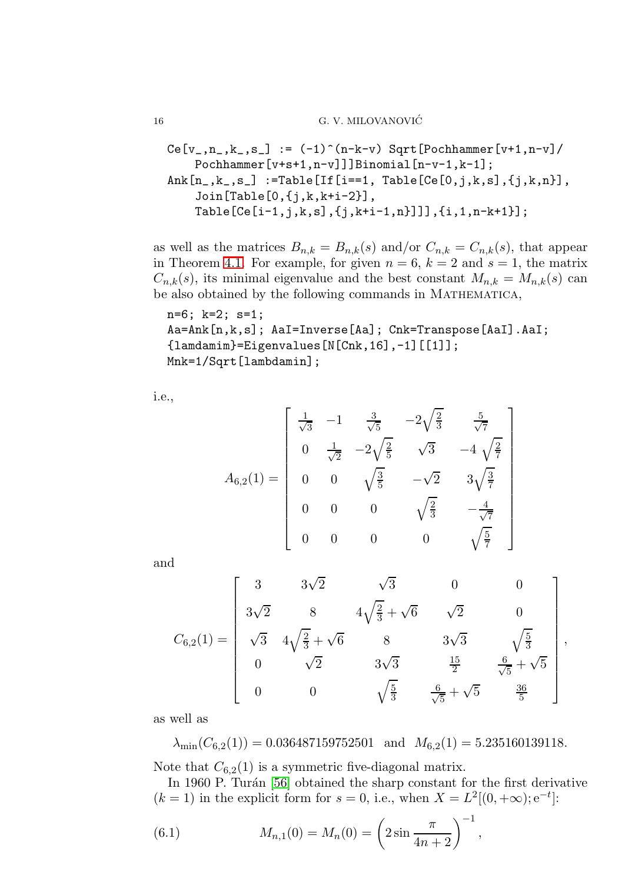$$
Ce[v_-,n_-,k_-,s_-] := (-1)^{(n-k-v)} \text{ Sqrt}[\text{Pochhammer}[v+1,n-v]/\text{Pochhammer}[v+s+1,n-v]]]\text{Binomial}[n-v-1,k-1];
$$
\n
$$
Ank[n_-,k_-,s_-] := \text{Table}[[If[i==1, Table[Ce[0,j,k,s],\{j,k,n\}],\text{Join}[Table[O,\{j,k,k+i-2\}],\text{Table}[[Ce[i-1,j,k,s],\{j,k+i-1,n\}]],\{i,1,n-k+1\}];
$$

as well as the matrices  $B_{n,k} = B_{n,k}(s)$  and/or  $C_{n,k} = C_{n,k}(s)$ , that appear in Theorem [4.1.](#page-13-4) For example, for given  $n = 6$ ,  $k = 2$  and  $s = 1$ , the matrix  $C_{n,k}(s)$ , its minimal eigenvalue and the best constant  $M_{n,k} = M_{n,k}(s)$  can be also obtained by the following commands in MATHEMATICA,

n=6; k=2; s=1; Aa=Ank[n,k,s]; AaI=Inverse[Aa]; Cnk=Transpose[AaI].AaI; {lamdamim}=Eigenvalues[N[Cnk,16],-1][[1]]; Mnk=1/Sqrt[lambdamin];

i.e.,

$$
A_{6,2}(1) = \begin{bmatrix} \frac{1}{\sqrt{3}} & -1 & \frac{3}{\sqrt{5}} & -2\sqrt{\frac{2}{3}} & \frac{5}{\sqrt{7}} \\ 0 & \frac{1}{\sqrt{2}} & -2\sqrt{\frac{2}{5}} & \sqrt{3} & -4\sqrt{\frac{2}{7}} \\ 0 & 0 & \sqrt{\frac{3}{5}} & -\sqrt{2} & 3\sqrt{\frac{3}{7}} \\ 0 & 0 & 0 & \sqrt{\frac{2}{3}} & -\frac{4}{\sqrt{7}} \\ 0 & 0 & 0 & 0 & \sqrt{\frac{5}{7}} \end{bmatrix}
$$

and

$$
C_{6,2}(1) = \begin{bmatrix} 3 & 3\sqrt{2} & \sqrt{3} & 0 & 0 \\ 3\sqrt{2} & 8 & 4\sqrt{\frac{2}{3}} + \sqrt{6} & \sqrt{2} & 0 \\ \sqrt{3} & 4\sqrt{\frac{2}{3}} + \sqrt{6} & 8 & 3\sqrt{3} & \sqrt{\frac{5}{3}} \\ 0 & \sqrt{2} & 3\sqrt{3} & \frac{15}{2} & \frac{6}{\sqrt{5}} + \sqrt{5} \\ 0 & 0 & \sqrt{\frac{5}{3}} & \frac{6}{\sqrt{5}} + \sqrt{5} & \frac{36}{5} \end{bmatrix},
$$

as well as

 $\lambda_{\min}(C_{6,2}(1)) = 0.036487159752501$  and  $M_{6,2}(1) = 5.235160139118$ .

Note that  $C_{6,2}(1)$  is a symmetric five-diagonal matrix.

In 1960 P. Turán [\[56\]](#page-35-8) obtained the sharp constant for the first derivative  $(k = 1)$  in the explicit form for  $s = 0$ , i.e., when  $X = L^2[(0, +\infty); e^{-t}]$ :

<span id="page-15-0"></span>(6.1) 
$$
M_{n,1}(0) = M_n(0) = \left(2\sin\frac{\pi}{4n+2}\right)^{-1},
$$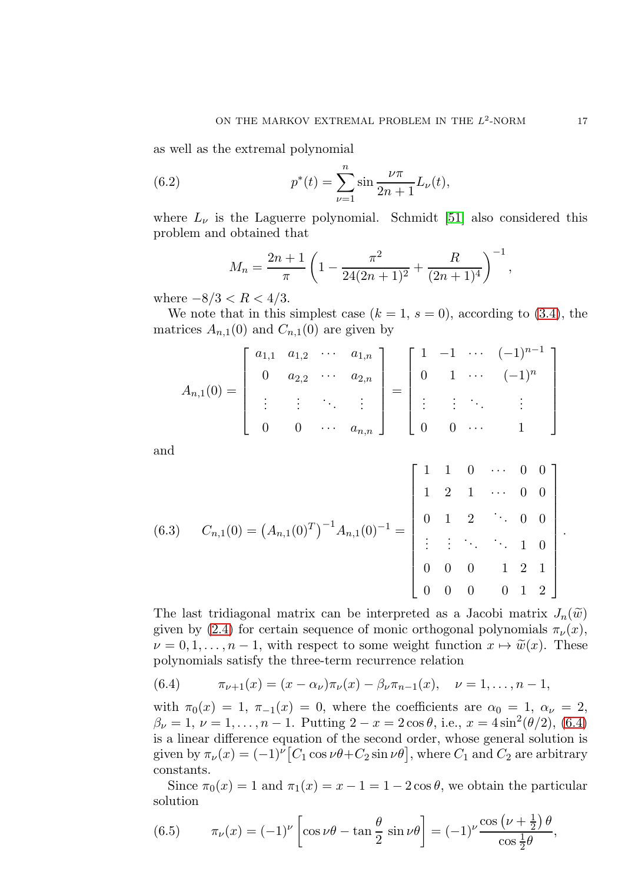as well as the extremal polynomial

(6.2) 
$$
p^*(t) = \sum_{\nu=1}^n \sin \frac{\nu \pi}{2n+1} L_{\nu}(t),
$$

where  $L_{\nu}$  is the Laguerre polynomial. Schmidt [\[51\]](#page-35-7) also considered this problem and obtained that

<span id="page-16-1"></span>
$$
M_n = \frac{2n+1}{\pi} \left( 1 - \frac{\pi^2}{24(2n+1)^2} + \frac{R}{(2n+1)^4} \right)^{-1},
$$

where  $-8/3 < R < 4/3$ .

We note that in this simplest case  $(k = 1, s = 0)$ , according to [\(3.4\)](#page-8-2), the matrices  $A_{n,1}(0)$  and  $C_{n,1}(0)$  are given by

$$
A_{n,1}(0) = \begin{bmatrix} a_{1,1} & a_{1,2} & \cdots & a_{1,n} \\ 0 & a_{2,2} & \cdots & a_{2,n} \\ \vdots & \vdots & \ddots & \vdots \\ 0 & 0 & \cdots & a_{n,n} \end{bmatrix} = \begin{bmatrix} 1 & -1 & \cdots & (-1)^{n-1} \\ 0 & 1 & \cdots & (-1)^n \\ \vdots & \vdots & \ddots & \vdots \\ 0 & 0 & \cdots & 1 \end{bmatrix}
$$

and

<span id="page-16-3"></span>(6.3) 
$$
C_{n,1}(0) = (A_{n,1}(0)^T)^{-1}A_{n,1}(0)^{-1} = \begin{bmatrix} 1 & 1 & 0 & \cdots & 0 & 0 \\ 1 & 2 & 1 & \cdots & 0 & 0 \\ 0 & 1 & 2 & \ddots & 0 & 0 \\ \vdots & \vdots & \ddots & \ddots & 1 & 0 \\ 0 & 0 & 0 & 1 & 2 & 1 \\ 0 & 0 & 0 & 0 & 1 & 2 \end{bmatrix}
$$

The last tridiagonal matrix can be interpreted as a Jacobi matrix  $J_n(\tilde{w})$ given by [\(2.4\)](#page-5-0) for certain sequence of monic orthogonal polynomials  $\pi_{\nu}(x)$ ,  $\nu = 0, 1, \ldots, n-1$ , with respect to some weight function  $x \mapsto \tilde{w}(x)$ . These polynomials satisfy the three-term recurrence relation

<span id="page-16-0"></span>(6.4) 
$$
\pi_{\nu+1}(x) = (x - \alpha_{\nu})\pi_{\nu}(x) - \beta_{\nu}\pi_{n-1}(x), \quad \nu = 1, \ldots, n-1,
$$

with  $\pi_0(x) = 1$ ,  $\pi_{-1}(x) = 0$ , where the coefficients are  $\alpha_0 = 1$ ,  $\alpha_{\nu} = 2$ ,  $\beta_{\nu} = 1, \nu = 1, \ldots, n - 1$ . Putting  $2 - x = 2 \cos \theta$ , i.e.,  $x = 4 \sin^2(\theta/2)$ , [\(6.4\)](#page-16-0) is a linear difference equation of the second order, whose general solution is given by  $\pi_{\nu}(x) = (-1)^{\nu} [C_1 \cos \nu \theta + C_2 \sin \nu \theta]$ , where  $C_1$  and  $C_2$  are arbitrary constants.

Since  $\pi_0(x) = 1$  and  $\pi_1(x) = x - 1 = 1 - 2 \cos \theta$ , we obtain the particular solution

<span id="page-16-2"></span>(6.5) 
$$
\pi_{\nu}(x) = (-1)^{\nu} \left[ \cos \nu \theta - \tan \frac{\theta}{2} \sin \nu \theta \right] = (-1)^{\nu} \frac{\cos (\nu + \frac{1}{2}) \theta}{\cos \frac{1}{2} \theta},
$$

.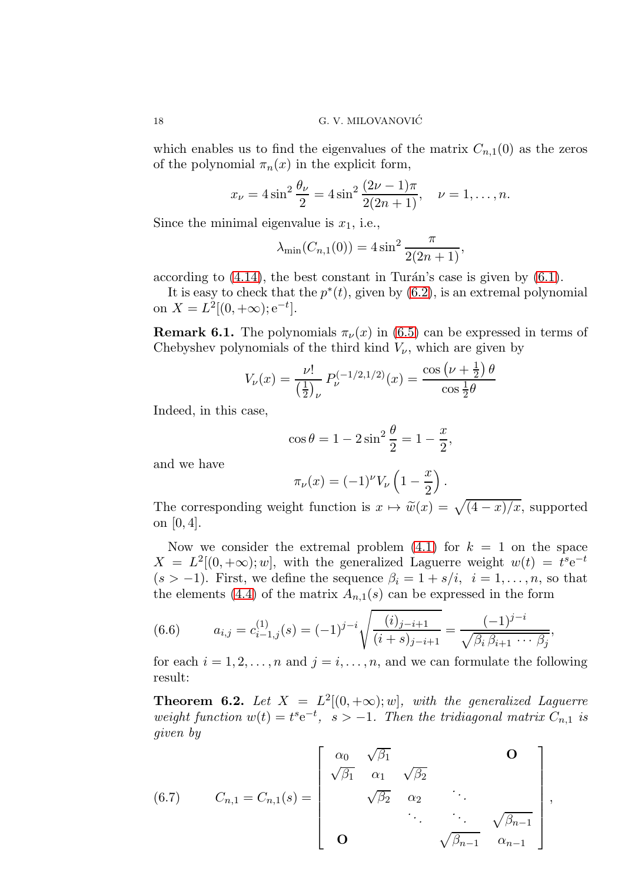which enables us to find the eigenvalues of the matrix  $C_{n,1}(0)$  as the zeros of the polynomial  $\pi_n(x)$  in the explicit form,

$$
x_{\nu} = 4\sin^2\frac{\theta_{\nu}}{2} = 4\sin^2\frac{(2\nu - 1)\pi}{2(2n + 1)}, \quad \nu = 1, \dots, n.
$$

Since the minimal eigenvalue is  $x_1$ , i.e.,

$$
\lambda_{\min}(C_{n,1}(0)) = 4\sin^2\frac{\pi}{2(2n+1)},
$$

according to  $(4.14)$ , the best constant in Turán's case is given by  $(6.1)$ .

It is easy to check that the  $p^*(t)$ , given by  $(6.2)$ , is an extremal polynomial on  $X = L^2[(0, +\infty); e^{-t}].$ 

**Remark 6.1.** The polynomials  $\pi_{\nu}(x)$  in [\(6.5\)](#page-16-2) can be expressed in terms of Chebyshev polynomials of the third kind  $V_{\nu}$ , which are given by

$$
V_{\nu}(x) = \frac{\nu!}{\left(\frac{1}{2}\right)_{\nu}} P_{\nu}^{(-1/2,1/2)}(x) = \frac{\cos\left(\nu + \frac{1}{2}\right)\theta}{\cos\frac{1}{2}\theta}
$$

Indeed, in this case,

$$
\cos \theta = 1 - 2\sin^2 \frac{\theta}{2} = 1 - \frac{x}{2},
$$

and we have

$$
\pi_{\nu}(x) = (-1)^{\nu} V_{\nu} \left( 1 - \frac{x}{2} \right).
$$

The corresponding weight function is  $x \mapsto \tilde{w}(x) = \sqrt{(4-x)/x}$ , supported on [0, 4].

Now we consider the extremal problem  $(4.1)$  for  $k = 1$  on the space  $X = L^2[(0, +\infty); w]$ , with the generalized Laguerre weight  $w(t) = t^s e^{-t}$  $(s > -1)$ . First, we define the sequence  $\beta_i = 1 + s/i$ ,  $i = 1, \ldots, n$ , so that the elements [\(4.4\)](#page-10-3) of the matrix  $A_{n,1}(s)$  can be expressed in the form

<span id="page-17-0"></span>(6.6) 
$$
a_{i,j} = c_{i-1,j}^{(1)}(s) = (-1)^{j-i} \sqrt{\frac{(i)_{j-i+1}}{(i+s)_{j-i+1}}} = \frac{(-1)^{j-i}}{\sqrt{\beta_i \beta_{i+1} \cdots \beta_j}},
$$

for each  $i = 1, 2, \ldots, n$  and  $j = i, \ldots, n$ , and we can formulate the following result:

<span id="page-17-2"></span>**Theorem 6.2.** Let  $X = L^2[(0, +\infty); w]$ , with the generalized Laguerre weight function  $w(t) = t^s e^{-t}$ ,  $s > -1$ . Then the tridiagonal matrix  $C_{n,1}$  is given by

,

<span id="page-17-1"></span>(6.7) 
$$
C_{n,1} = C_{n,1}(s) = \begin{bmatrix} \alpha_0 & \sqrt{\beta_1} & & & \mathbf{O} \\ \sqrt{\beta_1} & \alpha_1 & \sqrt{\beta_2} & & \cdots & \cdots & \cdots \\ \alpha_0 & \sqrt{\beta_2} & \alpha_2 & \cdots & \alpha_{n-1} \\ \mathbf{O} & & & \sqrt{\beta_{n-1}} & \alpha_{n-1} \end{bmatrix}
$$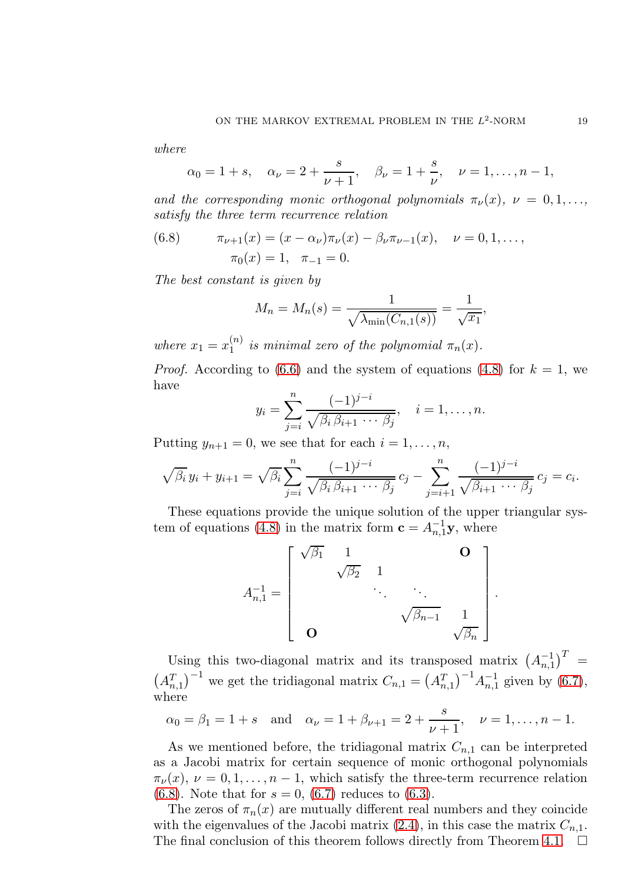where

$$
\alpha_0 = 1 + s
$$
,  $\alpha_\nu = 2 + \frac{s}{\nu + 1}$ ,  $\beta_\nu = 1 + \frac{s}{\nu}$ ,  $\nu = 1, ..., n - 1$ ,

and the corresponding monic orthogonal polynomials  $\pi_{\nu}(x)$ ,  $\nu = 0, 1, \ldots$ , satisfy the three term recurrence relation

<span id="page-18-0"></span>(6.8) 
$$
\pi_{\nu+1}(x) = (x - \alpha_{\nu})\pi_{\nu}(x) - \beta_{\nu}\pi_{\nu-1}(x), \quad \nu = 0, 1, ...,
$$

$$
\pi_0(x) = 1, \quad \pi_{-1} = 0.
$$

The best constant is given by

$$
M_n = M_n(s) = \frac{1}{\sqrt{\lambda_{\min}(C_{n,1}(s))}} = \frac{1}{\sqrt{x_1}},
$$

where  $x_1 = x_1^{(n)}$  $\int_1^{(n)}$  is minimal zero of the polynomial  $\pi_n(x)$ .

*Proof.* According to [\(6.6\)](#page-17-0) and the system of equations [\(4.8\)](#page-12-4) for  $k = 1$ , we have

$$
y_i = \sum_{j=i}^n \frac{(-1)^{j-i}}{\sqrt{\beta_i \beta_{i+1} \cdots \beta_j}}, \quad i = 1, \ldots, n.
$$

Putting  $y_{n+1} = 0$ , we see that for each  $i = 1, \ldots, n$ ,

$$
\sqrt{\beta_i} y_i + y_{i+1} = \sqrt{\beta_i} \sum_{j=i}^n \frac{(-1)^{j-i}}{\sqrt{\beta_i \beta_{i+1} \cdots \beta_j}} c_j - \sum_{j=i+1}^n \frac{(-1)^{j-i}}{\sqrt{\beta_{i+1} \cdots \beta_j}} c_j = c_i.
$$

These equations provide the unique solution of the upper triangular sys-tem of equations [\(4.8\)](#page-12-4) in the matrix form  $\mathbf{c} = A_{n,1}^{-1} \mathbf{y}$ , where

$$
A_{n,1}^{-1} = \begin{bmatrix} \sqrt{\beta_1} & 1 & & \mathbf{O} \\ & \sqrt{\beta_2} & 1 & & \ddots & \ddots \\ & & \ddots & \ddots & \ddots & \ddots \\ & & & \sqrt{\beta_{n-1}} & 1 \\ \mathbf{O} & & & \sqrt{\beta_n} \end{bmatrix}.
$$

Using this two-diagonal matrix and its transposed matrix  $(A_{n,1}^{-1})^T =$  $(A_{n,1}^T)^{-1}$  we get the tridiagonal matrix  $C_{n,1} = (A_{n,1}^T)^{-1} A_{n,1}^{-1}$  given by [\(6.7\)](#page-17-1), where

$$
\alpha_0 = \beta_1 = 1 + s
$$
 and  $\alpha_{\nu} = 1 + \beta_{\nu+1} = 2 + \frac{s}{\nu+1}$ ,  $\nu = 1, ..., n-1$ .

As we mentioned before, the tridiagonal matrix  $C_{n,1}$  can be interpreted as a Jacobi matrix for certain sequence of monic orthogonal polynomials  $\pi_{\nu}(x), \nu = 0, 1, \ldots, n-1$ , which satisfy the three-term recurrence relation [\(6.8\)](#page-18-0). Note that for  $s = 0$ , [\(6.7\)](#page-17-1) reduces to [\(6.3\)](#page-16-3).

The zeros of  $\pi_n(x)$  are mutually different real numbers and they coincide with the eigenvalues of the Jacobi matrix  $(2.4)$ , in this case the matrix  $C_{n,1}$ . The final conclusion of this theorem follows directly from Theorem [4.1.](#page-13-4)  $\Box$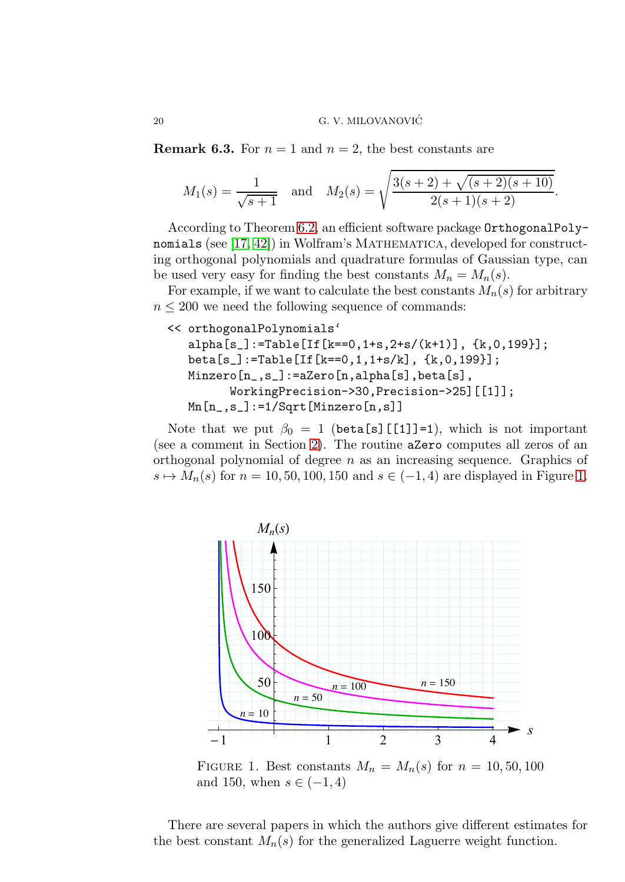**Remark 6.3.** For  $n = 1$  and  $n = 2$ , the best constants are

$$
M_1(s) = \frac{1}{\sqrt{s+1}}
$$
 and  $M_2(s) = \sqrt{\frac{3(s+2) + \sqrt{(s+2)(s+10)}}{2(s+1)(s+2)}}$ .

According to Theorem [6.2,](#page-17-2) an efficient software package OrthogonalPolynomials (see  $[17, 42]$  $[17, 42]$ ) in Wolfram's MATHEMATICA, developed for constructing orthogonal polynomials and quadrature formulas of Gaussian type, can be used very easy for finding the best constants  $M_n = M_n(s)$ .

For example, if we want to calculate the best constants  $M_n(s)$  for arbitrary  $n \leq 200$  we need the following sequence of commands:

```
<< orthogonalPolynomials'
   alpha[s_]:=Table[If[k==0,1+s,2+s/(k+1)], {k,0,199}];
  beta[s_]:=Table[If[k==0,1,1+s/k], {k,0,199}];
  Minzero[n_,s_]:=aZero[n,alpha[s],beta[s],
         WorkingPrecision->30,Precision->25][[1]];
  Mn[n_,s_]:=1/Sqrt[Minzero[n,s]]
```
Note that we put  $\beta_0 = 1$  (beta[s][[1]]=1), which is not important (see a comment in Section [2\)](#page-3-1). The routine aZero computes all zeros of an orthogonal polynomial of degree n as an increasing sequence. Graphics of  $s \mapsto M_n(s)$  for  $n = 10, 50, 100, 150$  and  $s \in (-1, 4)$  are displayed in Figure [1.](#page-19-0)



<span id="page-19-0"></span>FIGURE 1. Best constants  $M_n = M_n(s)$  for  $n = 10, 50, 100$ and 150, when  $s \in (-1, 4)$ 

There are several papers in which the authors give different estimates for the best constant  $M_n(s)$  for the generalized Laguerre weight function.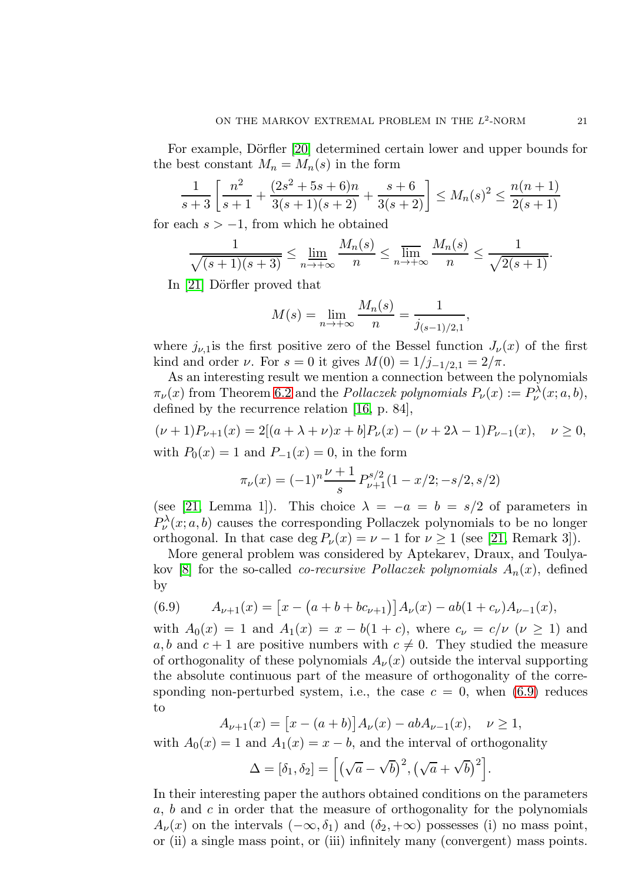For example, Dörfler [\[20\]](#page-34-13) determined certain lower and upper bounds for the best constant  $M_n = M_n(s)$  in the form

$$
\frac{1}{s+3} \left[ \frac{n^2}{s+1} + \frac{(2s^2+5s+6)n}{3(s+1)(s+2)} + \frac{s+6}{3(s+2)} \right] \le M_n(s)^2 \le \frac{n(n+1)}{2(s+1)}
$$

for each  $s > -1$ , from which he obtained

$$
\frac{1}{\sqrt{(s+1)(s+3)}} \le \lim_{n \to +\infty} \frac{M_n(s)}{n} \le \lim_{n \to +\infty} \frac{M_n(s)}{n} \le \frac{1}{\sqrt{2(s+1)}}.
$$

In  $[21]$  Dörfler proved that

$$
M(s) = \lim_{n \to +\infty} \frac{M_n(s)}{n} = \frac{1}{j_{(s-1)/2,1}},
$$

where  $j_{\nu,1}$  is the first positive zero of the Bessel function  $J_{\nu}(x)$  of the first kind and order *ν*. For  $s = 0$  it gives  $M(0) = 1/j_{-1/2,1} = 2/\pi$ .

As an interesting result we mention a connection between the polynomials  $\pi_{\nu}(x)$  from Theorem [6.2](#page-17-2) and the *Pollaczek polynomials*  $P_{\nu}(x) := P_{\nu}^{\lambda}(x; a, b)$ , defined by the recurrence relation [\[16,](#page-34-8) p. 84],

$$
(\nu+1)P_{\nu+1}(x) = 2[(a+\lambda+\nu)x+b]P_{\nu}(x) - (\nu+2\lambda-1)P_{\nu-1}(x), \quad \nu \ge 0,
$$

with  $P_0(x) = 1$  and  $P_{-1}(x) = 0$ , in the form

$$
\pi_{\nu}(x) = (-1)^n \frac{\nu+1}{s} P_{\nu+1}^{s/2} (1 - x/2; -s/2, s/2)
$$

(see [\[21,](#page-34-14) Lemma 1]). This choice  $\lambda = -a = b = s/2$  of parameters in  $P_{\nu}^{\lambda}(x; a, b)$  causes the corresponding Pollaczek polynomials to be no longer orthogonal. In that case deg  $P_{\nu}(x) = \nu - 1$  for  $\nu \ge 1$  (see [\[21,](#page-34-14) Remark 3]).

More general problem was considered by Aptekarev, Draux, and Toulya-kov [\[8\]](#page-33-12) for the so-called *co-recursive Pollaczek polynomials*  $A_n(x)$ , defined by

<span id="page-20-0"></span>(6.9) 
$$
A_{\nu+1}(x) = \left[x - \left(a + b + bc_{\nu+1}\right)\right]A_{\nu}(x) - ab(1 + c_{\nu})A_{\nu-1}(x),
$$

with  $A_0(x) = 1$  and  $A_1(x) = x - b(1+c)$ , where  $c_\nu = c/\nu \ (\nu \geq 1)$  and a, b and  $c + 1$  are positive numbers with  $c \neq 0$ . They studied the measure of orthogonality of these polynomials  $A_{\nu}(x)$  outside the interval supporting the absolute continuous part of the measure of orthogonality of the corresponding non-perturbed system, i.e., the case  $c = 0$ , when [\(6.9\)](#page-20-0) reduces to

$$
A_{\nu+1}(x) = [x - (a+b)]A_{\nu}(x) - abA_{\nu-1}(x), \quad \nu \ge 1,
$$

with  $A_0(x) = 1$  and  $A_1(x) = x - b$ , and the interval of orthogonality

$$
\Delta = [\delta_1, \delta_2] = [(\sqrt{a} - \sqrt{b})^2, (\sqrt{a} + \sqrt{b})^2].
$$

In their interesting paper the authors obtained conditions on the parameters a, b and c in order that the measure of orthogonality for the polynomials  $A_{\nu}(x)$  on the intervals  $(-\infty, \delta_1)$  and  $(\delta_2, +\infty)$  possesses (i) no mass point, or (ii) a single mass point, or (iii) infinitely many (convergent) mass points.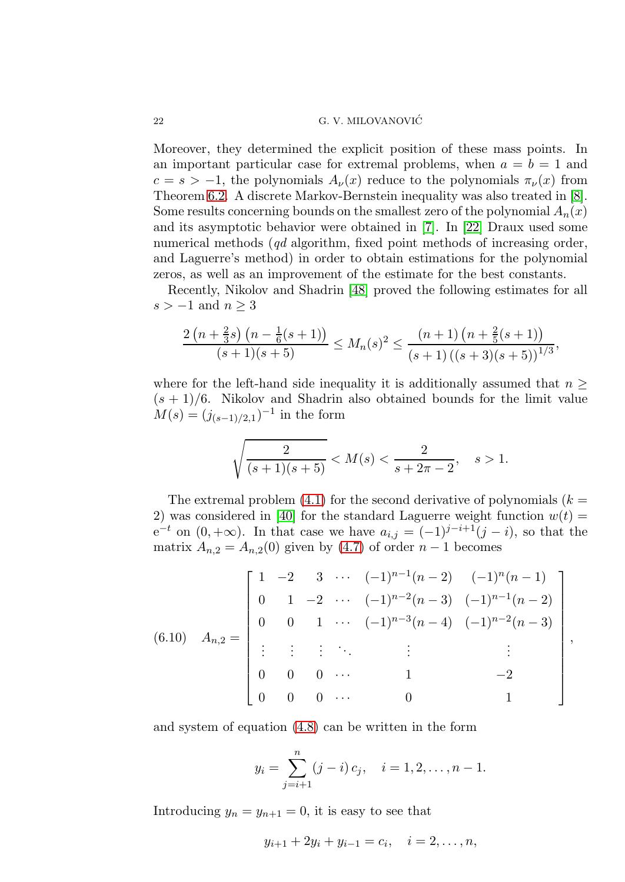Moreover, they determined the explicit position of these mass points. In an important particular case for extremal problems, when  $a = b = 1$  and  $c = s > -1$ , the polynomials  $A_{\nu}(x)$  reduce to the polynomials  $\pi_{\nu}(x)$  from Theorem [6.2.](#page-17-2) A discrete Markov-Bernstein inequality was also treated in [\[8\]](#page-33-12). Some results concerning bounds on the smallest zero of the polynomial  $A_n(x)$ and its asymptotic behavior were obtained in [\[7\]](#page-33-9). In [\[22\]](#page-34-15) Draux used some numerical methods (qd algorithm, fixed point methods of increasing order, and Laguerre's method) in order to obtain estimations for the polynomial zeros, as well as an improvement of the estimate for the best constants.

Recently, Nikolov and Shadrin [\[48\]](#page-35-5) proved the following estimates for all  $s > -1$  and  $n \geq 3$ 

$$
\frac{2\left(n+\frac{2}{3}s\right)\left(n-\frac{1}{6}(s+1)\right)}{(s+1)(s+5)} \leq M_n(s)^2 \leq \frac{(n+1)\left(n+\frac{2}{5}(s+1)\right)}{(s+1)\left((s+3)(s+5)\right)^{1/3}},
$$

where for the left-hand side inequality it is additionally assumed that  $n \geq$  $(s + 1)/6$ . Nikolov and Shadrin also obtained bounds for the limit value  $M(s) = (j_{(s-1)/2,1})^{-1}$  in the form

$$
\sqrt{\frac{2}{(s+1)(s+5)}} < M(s) < \frac{2}{s+2\pi-2}, \quad s > 1.
$$

The extremal problem [\(4.1\)](#page-10-1) for the second derivative of polynomials  $(k =$ 2) was considered in [\[40\]](#page-34-11) for the standard Laguerre weight function  $w(t) =$  $e^{-t}$  on  $(0, +\infty)$ . In that case we have  $a_{i,j} = (-1)^{j-i+1}(j-i)$ , so that the matrix  $A_{n,2} = A_{n,2}(0)$  given by [\(4.7\)](#page-12-3) of order  $n-1$  becomes

$$
(6.10) \quad A_{n,2} = \begin{bmatrix} 1 & -2 & 3 & \cdots & (-1)^{n-1}(n-2) & (-1)^n(n-1) \\ 0 & 1 & -2 & \cdots & (-1)^{n-2}(n-3) & (-1)^{n-1}(n-2) \\ 0 & 0 & 1 & \cdots & (-1)^{n-3}(n-4) & (-1)^{n-2}(n-3) \\ \vdots & \vdots & \vdots & \ddots & \vdots & \vdots & \vdots \\ 0 & 0 & 0 & \cdots & 1 & -2 \\ 0 & 0 & 0 & \cdots & 0 & 1 \end{bmatrix},
$$

and system of equation [\(4.8\)](#page-12-4) can be written in the form

$$
y_i = \sum_{j=i+1}^n (j-i) c_j, \quad i = 1, 2, \dots, n-1.
$$

Introducing  $y_n = y_{n+1} = 0$ , it is easy to see that

$$
y_{i+1} + 2y_i + y_{i-1} = c_i, \quad i = 2, ..., n,
$$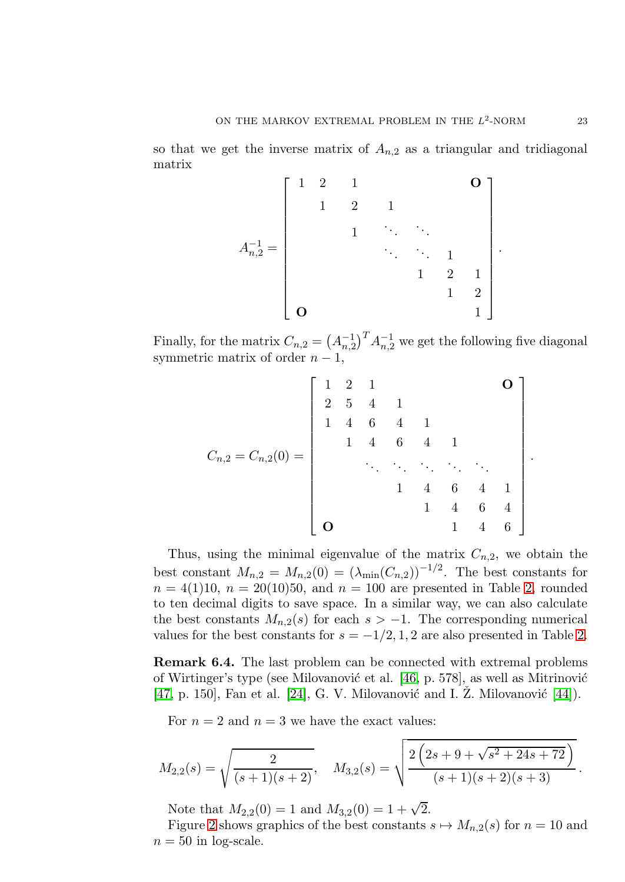so that we get the inverse matrix of  $A_{n,2}$  as a triangular and tridiagonal matrix

$$
A_{n,2}^{-1} = \begin{bmatrix} 1 & 2 & 1 & & & & & \ 1 & 2 & 1 & & & & \ & & \ddots & \ddots & & & \ & & & \ddots & \ddots & 1 & & \ & & & & \ddots & \ddots & 1 & \ & & & & & 1 & 2 & 1 \ & & & & & & 1 & 2 \ & & & & & & & 1 \end{bmatrix}.
$$

Finally, for the matrix  $C_{n,2} = (A_{n,2}^{-1})^T A_{n,2}^{-1}$  we get the following five diagonal symmetric matrix of order  $n - 1$ ,

Cn,<sup>2</sup> = Cn,2(0) = 1 2 1 O 2 5 4 1 1 4 6 4 1 1 4 6 4 1 . . . . . . . . . . . . . . . 1 4 6 4 1 1 4 6 4 O 1 4 6 

Thus, using the minimal eigenvalue of the matrix  $C_{n,2}$ , we obtain the best constant  $M_{n,2} = M_{n,2}(0) = (\lambda_{\min}(C_{n,2}))^{-1/2}$ . The best constants for  $n = 4(1)10, n = 20(10)50, \text{ and } n = 100 \text{ are presented in Table 2, rounded}$  $n = 4(1)10, n = 20(10)50, \text{ and } n = 100 \text{ are presented in Table 2, rounded}$  $n = 4(1)10, n = 20(10)50, \text{ and } n = 100 \text{ are presented in Table 2, rounded}$ to ten decimal digits to save space. In a similar way, we can also calculate the best constants  $M_{n,2}(s)$  for each  $s > -1$ . The corresponding numerical values for the best constants for  $s = -1/2, 1, 2$  are also presented in Table [2.](#page-23-1)

Remark 6.4. The last problem can be connected with extremal problems of Wirtinger's type (see Milovanović et al. [\[46,](#page-35-0) p. 578], as well as Mitrinović [\[47,](#page-35-12) p. 150], Fan et al. [\[24\]](#page-34-23), G. V. Milovanović and I.  $\check{Z}$ . Milovanović [\[44\]](#page-35-13)).

For  $n = 2$  and  $n = 3$  we have the exact values:

$$
M_{2,2}(s) = \sqrt{\frac{2}{(s+1)(s+2)}}, \quad M_{3,2}(s) = \sqrt{\frac{2\left(2s+9+\sqrt{s^2+24s+72}\right)}{(s+1)(s+2)(s+3)}}.
$$

Note that  $M_{2,2}(0) = 1$  and  $M_{3,2}(0) = 1 + \sqrt{2}$ .

Figure [2](#page-23-2) shows graphics of the best constants  $s \mapsto M_{n,2}(s)$  for  $n = 10$  and  $n = 50$  in log-scale.

.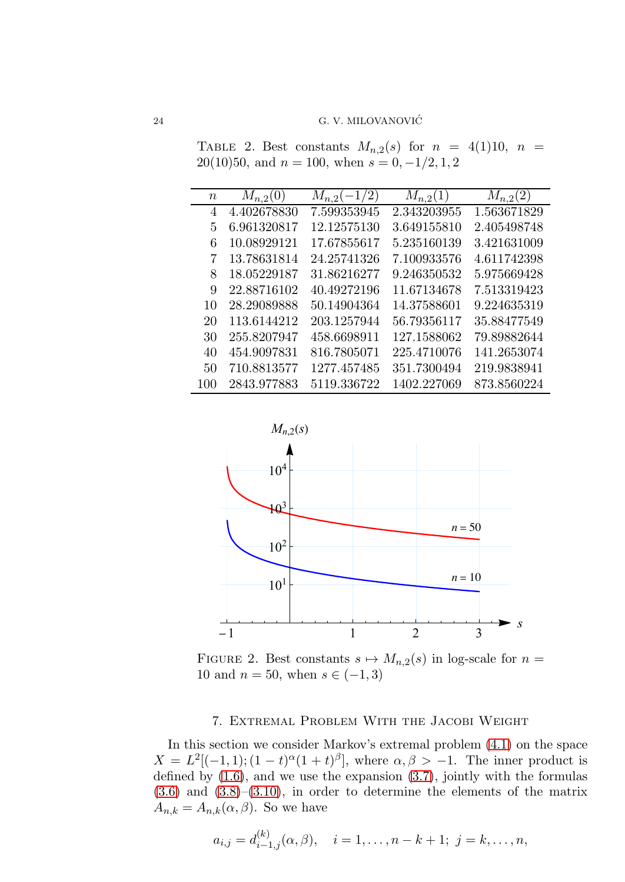<span id="page-23-1"></span>TABLE 2. Best constants  $M_{n,2}(s)$  for  $n = 4(1)10$ ,  $n =$ 20(10)50, and  $n = 100$ , when  $s = 0, -1/2, 1, 2$ 

| $\boldsymbol{n}$ | $M_{n,2}(0)$ | $M_{n,2}(-1/2)$ | $M_{n,2}(1)$ | $M_{n,2}(2)$ |
|------------------|--------------|-----------------|--------------|--------------|
| 4                | 4.402678830  | 7.599353945     | 2.343203955  | 1.563671829  |
| 5                | 6.961320817  | 12.12575130     | 3.649155810  | 2.405498748  |
| 6                | 10.08929121  | 17.67855617     | 5.235160139  | 3.421631009  |
| 7                | 13.78631814  | 24.25741326     | 7.100933576  | 4.611742398  |
| 8                | 18.05229187  | 31.86216277     | 9.246350532  | 5.975669428  |
| 9                | 22.88716102  | 40.49272196     | 11.67134678  | 7.513319423  |
| 10               | 28.29089888  | 50.14904364     | 14.37588601  | 9.224635319  |
| 20               | 113.6144212  | 203.1257944     | 56.79356117  | 35.88477549  |
| 30               | 255.8207947  | 458.6698911     | 127.1588062  | 79.89882644  |
| 40               | 454.9097831  | 816.7805071     | 225.4710076  | 141.2653074  |
| 50               | 710.8813577  | 1277.457485     | 351.7300494  | 219.9838941  |
| 100              | 2843.977883  | 5119.336722     | 1402.227069  | 873.8560224  |



<span id="page-23-2"></span>FIGURE 2. Best constants  $s \mapsto M_{n,2}(s)$  in log-scale for  $n =$ 10 and  $n = 50$ , when  $s \in (-1, 3)$ 

## 7. Extremal Problem With the Jacobi Weight

<span id="page-23-0"></span>In this section we consider Markov's extremal problem [\(4.1\)](#page-10-1) on the space  $X = L^2[(-1,1); (1-t)^\alpha(1+t)^\beta],$  where  $\alpha, \beta > -1$ . The inner product is defined by  $(1.6)$ , and we use the expansion  $(3.7)$ , jointly with the formulas  $(3.6)$  and  $(3.8)$ – $(3.10)$ , in order to determine the elements of the matrix  $A_{n,k} = A_{n,k}(\alpha, \beta)$ . So we have

$$
a_{i,j} = d_{i-1,j}^{(k)}(\alpha, \beta), \quad i = 1, \dots, n-k+1; \ j = k, \dots, n,
$$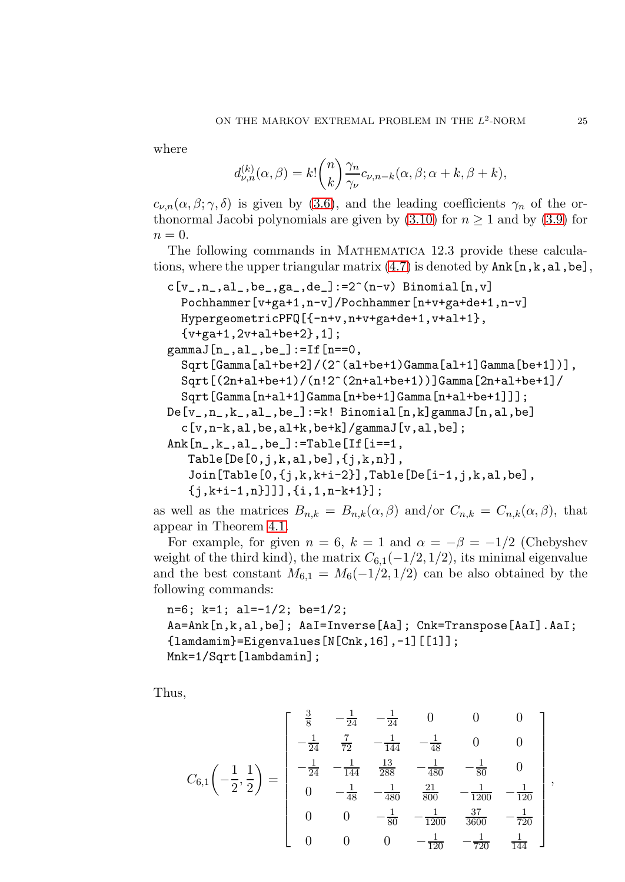where

$$
d_{\nu,n}^{(k)}(\alpha,\beta) = k! \binom{n}{k} \frac{\gamma_n}{\gamma_{\nu}} c_{\nu,n-k}(\alpha,\beta;\alpha+k,\beta+k),
$$

 $c_{\nu,n}(\alpha,\beta;\gamma,\delta)$  is given by [\(3.6\)](#page-8-3), and the leading coefficients  $\gamma_n$  of the orthonormal Jacobi polynomials are given by  $(3.10)$  for  $n \ge 1$  and by  $(3.9)$  for  $n=0.$ 

The following commands in Mathematica 12.3 provide these calculations, where the upper triangular matrix  $(4.7)$  is denoted by  $\texttt{Ank[n,k,al,be]}$ ,

```
c[v_-,n_-,a]_-,be_-,ga_-,de_-]:=2^(n-v) Binomial[n,v]
  Pochhammer[v+ga+1,n-v]/Pochhammer[n+v+ga+de+1,n-v]
  HypergeometricPFQ[{-n+v,n+v+ga+de+1,v+al+1},
  {v+ga+1,2v+al+be+2},1];
gamma[n_,al_,be_]:=If[n==0,Sqrt[Gamma[al+be+2]/(2^(al+be+1)Gamma[al+1]Gamma[be+1])],
  Sqrt[(2n+al+be+1)/(n!2^(2n+al+be+1))]Gamma[2n+al+be+1]/
  Sqrt[Gamma[n+al+1]Gamma[n+be+1]Gamma[n+al+be+1]]];
De[v_1, n_1, k_1, a_1, be_1 := k! Binomial[n, k]gammaJ[n, a_1, be_1]c[v,n-k,al,be,al+k,be+k]/gammaJ[v,al,be];
Ank[n_-,k_-,a1_-,be_]:=\text{Table}[[If[i==1,Table[De[0,j,k,al,be], {j,k,n},
   Join[Table[0,{j,k,k+i-2}],Table[De[i-1,j,k,al,be],
   {j,k+i-1,n}]]],{i,1,n-k+1}];
```
as well as the matrices  $B_{n,k} = B_{n,k}(\alpha, \beta)$  and/or  $C_{n,k} = C_{n,k}(\alpha, \beta)$ , that appear in Theorem [4.1.](#page-13-4)

For example, for given  $n = 6$ ,  $k = 1$  and  $\alpha = -\beta = -1/2$  (Chebyshev weight of the third kind), the matrix  $C_{6,1}(-1/2, 1/2)$ , its minimal eigenvalue and the best constant  $M_{6,1} = M_6(-1/2, 1/2)$  can be also obtained by the following commands:

n=6; k=1; al=-1/2; be=1/2; Aa=Ank[n,k,al,be]; AaI=Inverse[Aa]; Cnk=Transpose[AaI].AaI; {lamdamim}=Eigenvalues[N[Cnk,16],-1][[1]]; Mnk=1/Sqrt[lambdamin];

Thus,

$$
C_{6,1}\left(-\frac{1}{2},\frac{1}{2}\right) = \begin{bmatrix} \frac{3}{8} & -\frac{1}{24} & -\frac{1}{24} & 0 & 0 & 0 \\ -\frac{1}{24} & \frac{7}{72} & -\frac{1}{144} & -\frac{1}{48} & 0 & 0 \\ -\frac{1}{24} & -\frac{1}{144} & \frac{13}{288} & -\frac{1}{480} & -\frac{1}{80} & 0 \\ 0 & -\frac{1}{48} & -\frac{1}{480} & \frac{21}{800} & -\frac{1}{1200} & -\frac{1}{120} \\ 0 & 0 & -\frac{1}{80} & -\frac{1}{1200} & \frac{37}{3600} & -\frac{1}{720} \\ 0 & 0 & 0 & -\frac{1}{120} & -\frac{1}{720} & \frac{1}{144} \end{bmatrix},
$$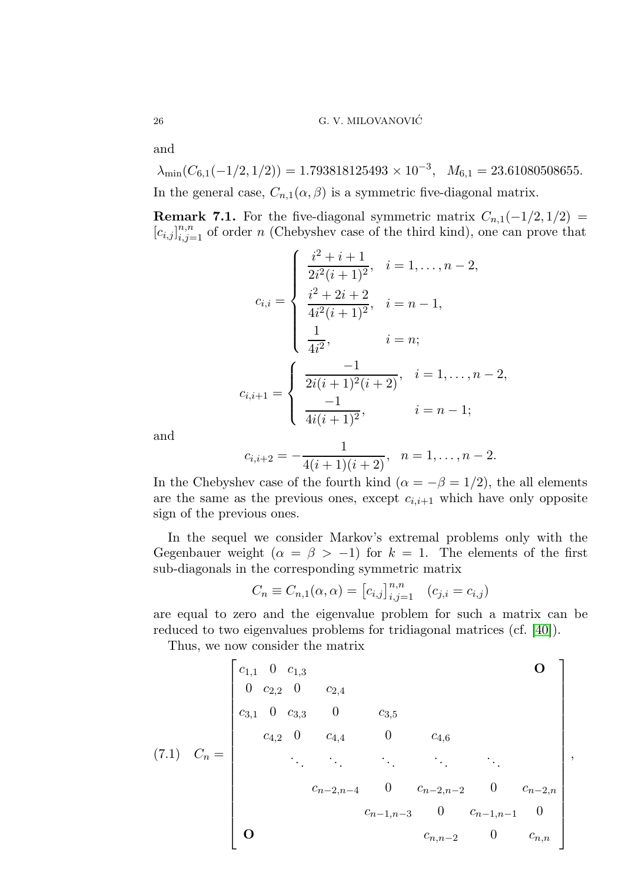and

 $\lambda_{\min}(C_{6,1}(-1/2,1/2)) = 1.793818125493 \times 10^{-3}, M_{6,1} = 23.61080508655.$ In the general case,  $C_{n,1}(\alpha,\beta)$  is a symmetric five-diagonal matrix.

**Remark 7.1.** For the five-diagonal symmetric matrix  $C_{n,1}(-1/2, 1/2)$  =  $[c_{i,j}]_{i,j=1}^{n,n}$  of order n (Chebyshev case of the third kind), one can prove that

$$
c_{i,i} = \begin{cases} \frac{i^2 + i + 1}{2i^2(i + 1)^2}, & i = 1, ..., n - 2, \\ \frac{i^2 + 2i + 2}{4i^2(i + 1)^2}, & i = n - 1, \\ \frac{1}{4i^2}, & i = n; \end{cases}
$$

$$
c_{i,i+1} = \begin{cases} \frac{-1}{2i(i + 1)^2(i + 2)}, & i = 1, ..., n - 2, \\ \frac{-1}{4i(i + 1)^2}, & i = n - 1; \end{cases}
$$

and

$$
c_{i,i+2}=-\frac{1}{4(i+1)(i+2)}, \quad n=1,\ldots,n-2.
$$

In the Chebyshev case of the fourth kind ( $\alpha = -\beta = 1/2$ ), the all elements are the same as the previous ones, except  $c_{i,i+1}$  which have only opposite sign of the previous ones.

In the sequel we consider Markov's extremal problems only with the Gegenbauer weight  $(\alpha = \beta > -1)$  for  $k = 1$ . The elements of the first sub-diagonals in the corresponding symmetric matrix

$$
C_n \equiv C_{n,1}(\alpha, \alpha) = [c_{i,j}]_{i,j=1}^{n,n} \quad (c_{j,i} = c_{i,j})
$$

are equal to zero and the eigenvalue problem for such a matrix can be reduced to two eigenvalues problems for tridiagonal matrices (cf. [\[40\]](#page-34-11)).

Thus, we now consider the matrix

<span id="page-25-0"></span> c1,<sup>1</sup> 0 c1,<sup>3</sup> O 0 c2,<sup>2</sup> 0 c2,<sup>4</sup> c3,<sup>1</sup> 0 c3,<sup>3</sup> 0 c3,<sup>5</sup> c4,<sup>2</sup> 0 c4,<sup>4</sup> 0 c4,<sup>6</sup> (7.1) C<sup>n</sup> = ,. . . . . . . . . . . . . . . cn−2,n−<sup>4</sup> 0 cn−2,n−<sup>2</sup> 0 cn−2,n cn−1,n−<sup>3</sup> 0 cn−1,n−<sup>1</sup> 0 O cn,n−<sup>2</sup> 0 cn,n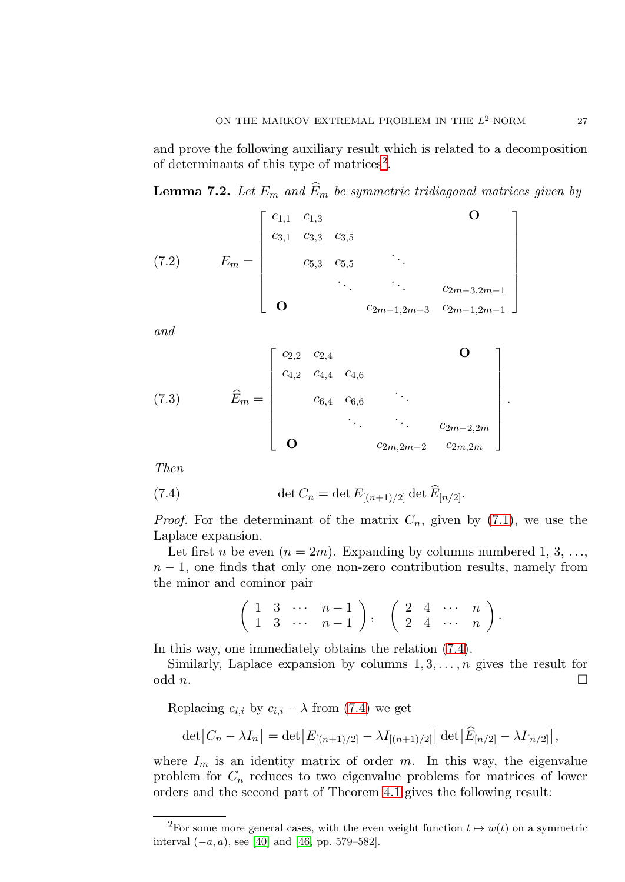and prove the following auxiliary result which is related to a decomposition of determinants of this type of matrices<sup>[2](#page-26-0)</sup>.

<span id="page-26-2"></span>**Lemma 7.2.** Let  $E_m$  and  $\widehat{E}_m$  be symmetric tridiagonal matrices given by

<span id="page-26-3"></span>(7.2) 
$$
E_m = \begin{bmatrix} c_{1,1} & c_{1,3} & & & \mathbf{O} \\ c_{3,1} & c_{3,3} & c_{3,5} & & \\ & c_{5,3} & c_{5,5} & & \\ & & \ddots & \ddots & c_{2m-3,2m-1} \\ \mathbf{O} & & & c_{2m-1,2m-3} & c_{2m-1,2m-1} \end{bmatrix}
$$

and

<span id="page-26-4"></span>(7.3) 
$$
\hat{E}_m = \begin{bmatrix} c_{2,2} & c_{2,4} & & & \mathbf{O} \\ c_{4,2} & c_{4,4} & c_{4,6} & & \\ & c_{6,4} & c_{6,6} & \ddots & \\ & & \ddots & \ddots & c_{2m-2,2m} \\ \mathbf{O} & & & c_{2m,2m-2} & c_{2m,2m} \end{bmatrix}
$$

Then

(7.4) 
$$
\det C_n = \det E_{[(n+1)/2]} \det \widehat{E}_{[n/2]}.
$$

*Proof.* For the determinant of the matrix  $C_n$ , given by [\(7.1\)](#page-25-0), we use the Laplace expansion.

Let first *n* be even  $(n = 2m)$ . Expanding by columns numbered 1, 3, ...,  $n-1$ , one finds that only one non-zero contribution results, namely from the minor and cominor pair

<span id="page-26-1"></span>
$$
\left(\begin{array}{cccc} 1 & 3 & \cdots & n-1 \\ 1 & 3 & \cdots & n-1 \end{array}\right), \quad \left(\begin{array}{cccc} 2 & 4 & \cdots & n \\ 2 & 4 & \cdots & n \end{array}\right).
$$

In this way, one immediately obtains the relation [\(7.4\)](#page-26-1).

Similarly, Laplace expansion by columns  $1, 3, \ldots, n$  gives the result for odd  $n$ .

Replacing  $c_{i,i}$  by  $c_{i,i} - \lambda$  from [\(7.4\)](#page-26-1) we get

$$
\det [C_n - \lambda I_n] = \det [E_{[(n+1)/2]} - \lambda I_{[(n+1)/2]}] \det [\widehat{E}_{[n/2]} - \lambda I_{[n/2]}],
$$

where  $I_m$  is an identity matrix of order m. In this way, the eigenvalue problem for  $C_n$  reduces to two eigenvalue problems for matrices of lower orders and the second part of Theorem [4.1](#page-13-4) gives the following result:

.

<span id="page-26-0"></span><sup>&</sup>lt;sup>2</sup>For some more general cases, with the even weight function  $t \mapsto w(t)$  on a symmetric interval  $(-a, a)$ , see [\[40\]](#page-34-11) and [\[46,](#page-35-0) pp. 579–582].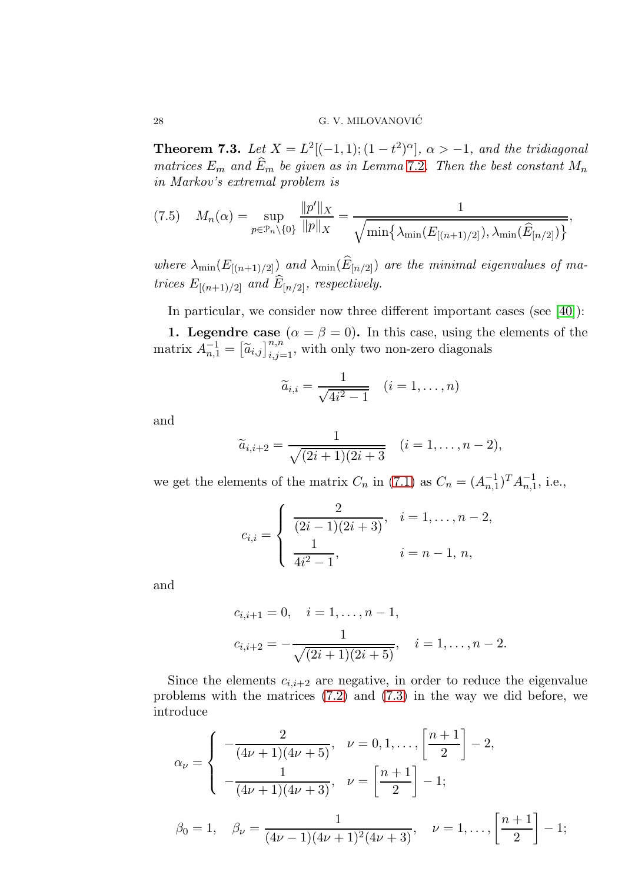**Theorem 7.3.** Let  $X = L^2[(-1,1); (1-t^2)^\alpha]$ ,  $\alpha > -1$ , and the tridiagonal matrices  $E_m$  and  $\widehat{E}_m$  be given as in Lemma [7](#page-26-2).2. Then the best constant  $M_n$ in Markov's extremal problem is

<span id="page-27-0"></span>
$$
(7.5) \tM_n(\alpha) = \sup_{p \in \mathcal{P}_n \setminus \{0\}} \frac{\|p'\|_X}{\|p\|_X} = \frac{1}{\sqrt{\min\{\lambda_{\min}(E_{[(n+1)/2]}), \lambda_{\min}(\widehat{E}_{[n/2]})\}}},
$$

where  $\lambda_{\min}(E_{[(n+1)/2]})$  and  $\lambda_{\min}(E_{[n/2]})$  are the minimal eigenvalues of matrices  $E_{[(n+1)/2]}$  and  $E_{[n/2]}$ , respectively.

In particular, we consider now three different important cases (see [\[40\]](#page-34-11)):

**1. Legendre case**  $(\alpha = \beta = 0)$ . In this case, using the elements of the matrix  $\overline{A}_{n,1}^{-1} = \left[ \widetilde{a}_{i,j} \right]_{i,j=1}^{n,n}$ , with only two non-zero diagonals

$$
\widetilde{a}_{i,i} = \frac{1}{\sqrt{4i^2 - 1}} \quad (i = 1, \dots, n)
$$

and

$$
\widetilde{a}_{i,i+2} = \frac{1}{\sqrt{(2i+1)(2i+3)}} \quad (i=1,\ldots,n-2),
$$

we get the elements of the matrix  $C_n$  in [\(7.1\)](#page-25-0) as  $C_n = (A_{n,1}^{-1})^T A_{n,1}^{-1}$ , i.e.,

$$
c_{i,i} = \begin{cases} \frac{2}{(2i-1)(2i+3)}, & i = 1, \dots, n-2, \\ \frac{1}{4i^2-1}, & i = n-1, n, \end{cases}
$$

and

$$
c_{i,i+1} = 0, \quad i = 1, \dots, n-1,
$$
  

$$
c_{i,i+2} = -\frac{1}{\sqrt{(2i+1)(2i+5)}}, \quad i = 1, \dots, n-2.
$$

Since the elements  $c_{i,i+2}$  are negative, in order to reduce the eigenvalue problems with the matrices  $(7.2)$  and  $(7.3)$  in the way we did before, we introduce

$$
\alpha_{\nu} = \begin{cases}\n-\frac{2}{(4\nu+1)(4\nu+5)}, & \nu = 0, 1, \dots, \left[\frac{n+1}{2}\right] - 2, \\
-\frac{1}{(4\nu+1)(4\nu+3)}, & \nu = \left[\frac{n+1}{2}\right] - 1; \\
\beta_0 = 1, & \beta_{\nu} = \frac{1}{(4\nu-1)(4\nu+1)^2(4\nu+3)}, & \nu = 1, \dots, \left[\frac{n+1}{2}\right] - 1;\n\end{cases}
$$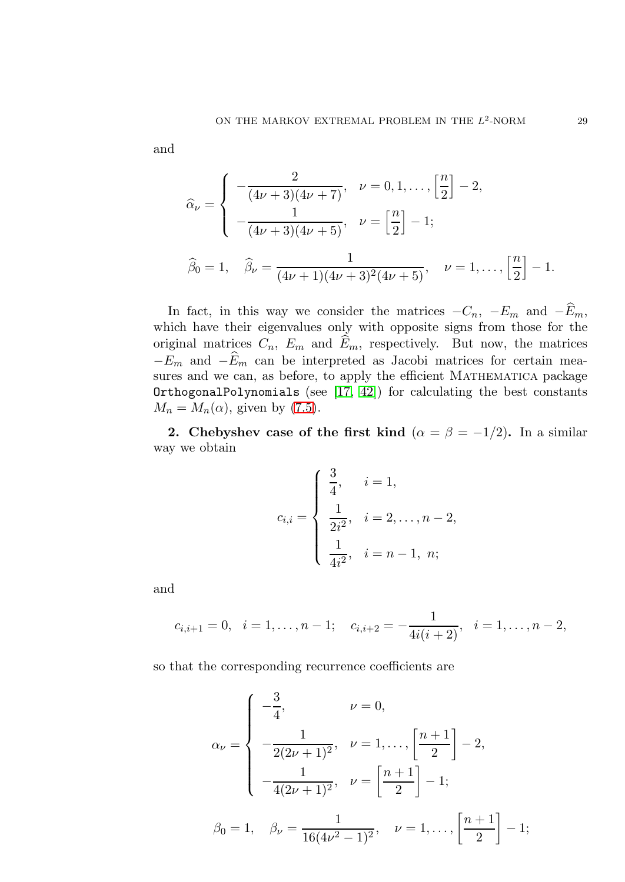and

$$
\widehat{\alpha}_{\nu} = \begin{cases}\n-\frac{2}{(4\nu+3)(4\nu+7)}, & \nu = 0, 1, \dots, \left[\frac{n}{2}\right] - 2, \\
-\frac{1}{(4\nu+3)(4\nu+5)}, & \nu = \left[\frac{n}{2}\right] - 1; \\
\widehat{\beta}_{0} = 1, & \widehat{\beta}_{\nu} = \frac{1}{(4\nu+1)(4\nu+3)^{2}(4\nu+5)}, & \nu = 1, \dots, \left[\frac{n}{2}\right] - 1.\n\end{cases}
$$

In fact, in this way we consider the matrices  $-C_n$ ,  $-E_m$  and  $-\widehat{E}_m$ , which have their eigenvalues only with opposite signs from those for the original matrices  $C_n$ ,  $E_m$  and  $\widehat{E}_m$ , respectively. But now, the matrices  $-E_m$  and  $-\widehat{E}_m$  can be interpreted as Jacobi matrices for certain measures and we can, as before, to apply the efficient MATHEMATICA package OrthogonalPolynomials (see  $[17, 42]$  $[17, 42]$ ) for calculating the best constants  $M_n = M_n(\alpha)$ , given by [\(7.5\)](#page-27-0).

2. Chebyshev case of the first kind  $(\alpha = \beta = -1/2)$ . In a similar way we obtain

$$
c_{i,i} = \begin{cases} \frac{3}{4}, & i = 1, \\ \frac{1}{2i^2}, & i = 2, \dots, n-2, \\ \frac{1}{4i^2}, & i = n-1, n; \end{cases}
$$

and

$$
c_{i,i+1} = 0
$$
,  $i = 1,...,n-1$ ;  $c_{i,i+2} = -\frac{1}{4i(i+2)}$ ,  $i = 1,...,n-2$ ,

so that the corresponding recurrence coefficients are

$$
\alpha_{\nu} = \begin{cases}\n-\frac{3}{4}, & \nu = 0, \\
-\frac{1}{2(2\nu + 1)^2}, & \nu = 1, \dots, \left[\frac{n+1}{2}\right] - 2, \\
-\frac{1}{4(2\nu + 1)^2}, & \nu = \left[\frac{n+1}{2}\right] - 1; \\
\beta_0 = 1, & \beta_{\nu} = \frac{1}{16(4\nu^2 - 1)^2}, & \nu = 1, \dots, \left[\frac{n+1}{2}\right] - 1;\n\end{cases}
$$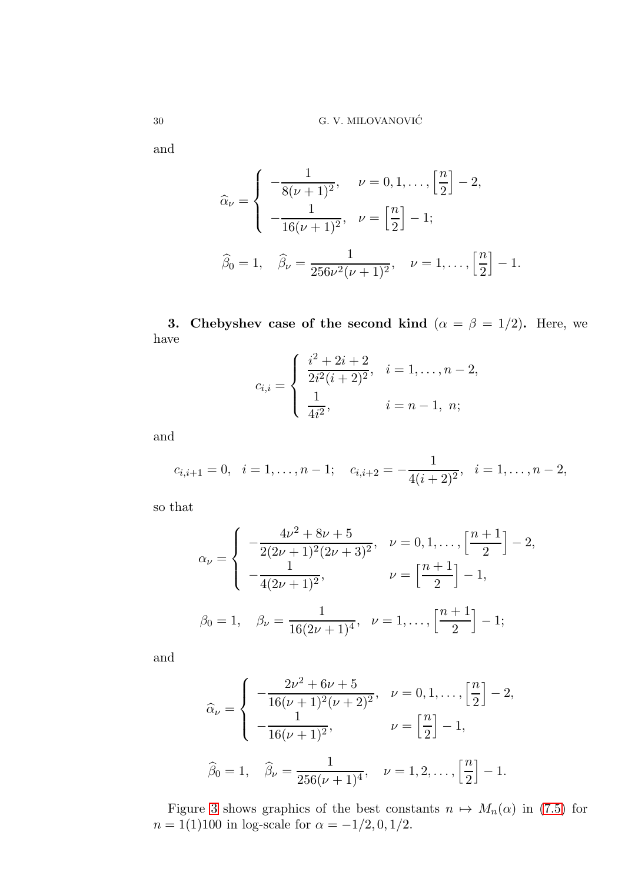and

$$
\widehat{\alpha}_{\nu} = \begin{cases}\n-\frac{1}{8(\nu+1)^2}, & \nu = 0, 1, \dots, \left[\frac{n}{2}\right] - 2, \\
-\frac{1}{16(\nu+1)^2}, & \nu = \left[\frac{n}{2}\right] - 1; \\
\widehat{\beta}_0 = 1, & \widehat{\beta}_{\nu} = \frac{1}{256\nu^2(\nu+1)^2}, & \nu = 1, \dots, \left[\frac{n}{2}\right] - 1.\n\end{cases}
$$

3. Chebyshev case of the second kind ( $\alpha = \beta = 1/2$ ). Here, we have

$$
c_{i,i} = \begin{cases} \frac{i^2 + 2i + 2}{2i^2(i+2)^2}, & i = 1, \dots, n-2, \\ \frac{1}{4i^2}, & i = n-1, n; \end{cases}
$$

and

$$
c_{i,i+1} = 0
$$
,  $i = 1,..., n - 1$ ;  $c_{i,i+2} = -\frac{1}{4(i+2)^2}$ ,  $i = 1,..., n - 2$ ,

so that

$$
\alpha_{\nu} = \begin{cases}\n-\frac{4\nu^2 + 8\nu + 5}{2(2\nu + 1)^2(2\nu + 3)^2}, & \nu = 0, 1, \dots, \left[\frac{n+1}{2}\right] - 2, \\
-\frac{1}{4(2\nu + 1)^2}, & \nu = \left[\frac{n+1}{2}\right] - 1, \\
\beta_0 = 1, & \beta_{\nu} = \frac{1}{16(2\nu + 1)^4}, & \nu = 1, \dots, \left[\frac{n+1}{2}\right] - 1;\n\end{cases}
$$

and

$$
\widehat{\alpha}_{\nu} = \begin{cases}\n-\frac{2\nu^2 + 6\nu + 5}{16(\nu + 1)^2(\nu + 2)^2}, & \nu = 0, 1, \dots, \left[\frac{n}{2}\right] - 2, \\
-\frac{1}{16(\nu + 1)^2}, & \nu = \left[\frac{n}{2}\right] - 1, \\
\widehat{\beta}_0 = 1, & \widehat{\beta}_{\nu} = \frac{1}{256(\nu + 1)^4}, & \nu = 1, 2, \dots, \left[\frac{n}{2}\right] - 1.\n\end{cases}
$$

Figure [3](#page-30-0) shows graphics of the best constants  $n \mapsto M_n(\alpha)$  in [\(7.5\)](#page-27-0) for  $n = 1(1)100$  in log-scale for  $\alpha = -1/2, 0, 1/2$ .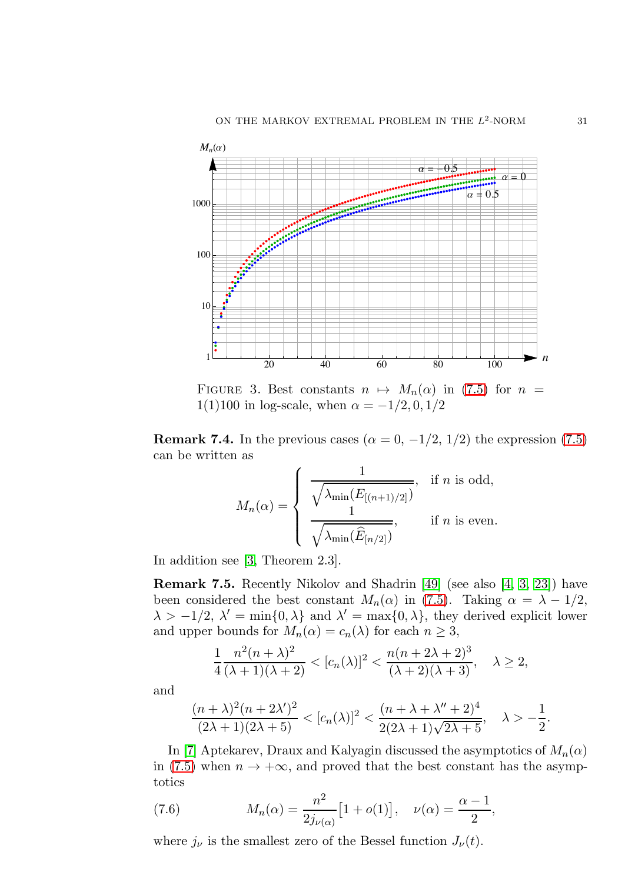

<span id="page-30-0"></span>FIGURE 3. Best constants  $n \mapsto M_n(\alpha)$  in [\(7.5\)](#page-27-0) for  $n =$ 1(1)100 in log-scale, when  $\alpha = -1/2, 0, 1/2$ 

**Remark 7.4.** In the previous cases ( $\alpha = 0, -1/2, 1/2$ ) the expression [\(7.5\)](#page-27-0) can be written as

$$
M_n(\alpha) = \begin{cases} \frac{1}{\sqrt{\lambda_{\min}(E_{[(n+1)/2]})}}, & \text{if } n \text{ is odd,} \\ \frac{1}{\sqrt{\lambda_{\min}(\widehat{E}_{[n/2]})}}, & \text{if } n \text{ is even.} \end{cases}
$$

In addition see [\[3,](#page-33-13) Theorem 2.3].

Remark 7.5. Recently Nikolov and Shadrin [\[49\]](#page-35-6) (see also [\[4,](#page-33-14) [3,](#page-33-13) [23\]](#page-34-16)) have been considered the best constant  $M_n(\alpha)$  in [\(7.5\)](#page-27-0). Taking  $\alpha = \lambda - 1/2$ ,  $\lambda > -1/2$ ,  $\lambda' = \min\{0, \lambda\}$  and  $\lambda' = \max\{0, \lambda\}$ , they derived explicit lower and upper bounds for  $M_n(\alpha) = c_n(\lambda)$  for each  $n \geq 3$ ,

$$
\frac{1}{4} \frac{n^2(n+\lambda)^2}{(\lambda+1)(\lambda+2)} < [c_n(\lambda)]^2 < \frac{n(n+2\lambda+2)^3}{(\lambda+2)(\lambda+3)}, \quad \lambda \ge 2,
$$

and

$$
\frac{(n+\lambda)^2(n+2\lambda')^2}{(2\lambda+1)(2\lambda+5)} < [c_n(\lambda)]^2 < \frac{(n+\lambda+\lambda''+2)^4}{2(2\lambda+1)\sqrt{2\lambda+5}}, \quad \lambda > -\frac{1}{2}.
$$

In [\[7\]](#page-33-9) Aptekarev, Draux and Kalyagin discussed the asymptotics of  $M_n(\alpha)$ in [\(7.5\)](#page-27-0) when  $n \to +\infty$ , and proved that the best constant has the asymptotics

<span id="page-30-1"></span>(7.6) 
$$
M_n(\alpha) = \frac{n^2}{2j_{\nu(\alpha)}} [1 + o(1)], \quad \nu(\alpha) = \frac{\alpha - 1}{2},
$$

where  $j_{\nu}$  is the smallest zero of the Bessel function  $J_{\nu}(t)$ .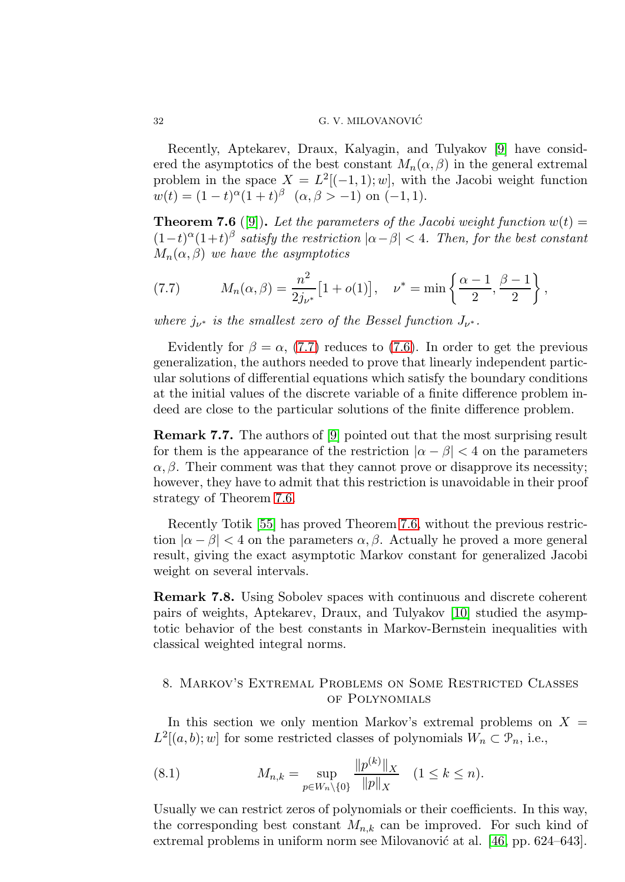Recently, Aptekarev, Draux, Kalyagin, and Tulyakov [\[9\]](#page-33-10) have considered the asymptotics of the best constant  $M_n(\alpha, \beta)$  in the general extremal problem in the space  $X = L^2[(-1,1);w]$ , with the Jacobi weight function  $w(t) = (1-t)^{\alpha}(1+t)^{\beta} \quad (\alpha, \beta > -1) \text{ on } (-1,1).$ 

<span id="page-31-2"></span>**Theorem 7.6** ([\[9\]](#page-33-10)). Let the parameters of the Jacobi weight function  $w(t) =$  $(1-t)^{\alpha}(1+t)^{\beta}$  satisfy the restriction  $|\alpha-\beta| < 4$ . Then, for the best constant  $M_n(\alpha, \beta)$  we have the asymptotics

<span id="page-31-1"></span>(7.7) 
$$
M_n(\alpha, \beta) = \frac{n^2}{2j_{\nu^*}} [1 + o(1)], \quad \nu^* = \min \left\{ \frac{\alpha - 1}{2}, \frac{\beta - 1}{2} \right\},
$$

where  $j_{\nu^*}$  is the smallest zero of the Bessel function  $J_{\nu^*}$ .

Evidently for  $\beta = \alpha$ , [\(7.7\)](#page-31-1) reduces to [\(7.6\)](#page-30-1). In order to get the previous generalization, the authors needed to prove that linearly independent particular solutions of differential equations which satisfy the boundary conditions at the initial values of the discrete variable of a finite difference problem indeed are close to the particular solutions of the finite difference problem.

Remark 7.7. The authors of [\[9\]](#page-33-10) pointed out that the most surprising result for them is the appearance of the restriction  $|\alpha - \beta| < 4$  on the parameters  $\alpha$ ,  $\beta$ . Their comment was that they cannot prove or disapprove its necessity; however, they have to admit that this restriction is unavoidable in their proof strategy of Theorem [7.6.](#page-31-2)

Recently Totik [\[55\]](#page-35-14) has proved Theorem [7.6,](#page-31-2) without the previous restriction  $|\alpha - \beta| < 4$  on the parameters  $\alpha, \beta$ . Actually he proved a more general result, giving the exact asymptotic Markov constant for generalized Jacobi weight on several intervals.

Remark 7.8. Using Sobolev spaces with continuous and discrete coherent pairs of weights, Aptekarev, Draux, and Tulyakov [\[10\]](#page-33-11) studied the asymptotic behavior of the best constants in Markov-Bernstein inequalities with classical weighted integral norms.

# <span id="page-31-0"></span>8. Markov's Extremal Problems on Some Restricted Classes of Polynomials

In this section we only mention Markov's extremal problems on  $X =$  $L^2[(a, b); w]$  for some restricted classes of polynomials  $W_n \subset \mathcal{P}_n$ , i.e.,

(8.1) 
$$
M_{n,k} = \sup_{p \in W_n \setminus \{0\}} \frac{\|p^{(k)}\|_X}{\|p\|_X} \quad (1 \le k \le n).
$$

Usually we can restrict zeros of polynomials or their coefficients. In this way, the corresponding best constant  $M_{n,k}$  can be improved. For such kind of extremal problems in uniform norm see Milovanović at al.  $[46, pp. 624–643]$ .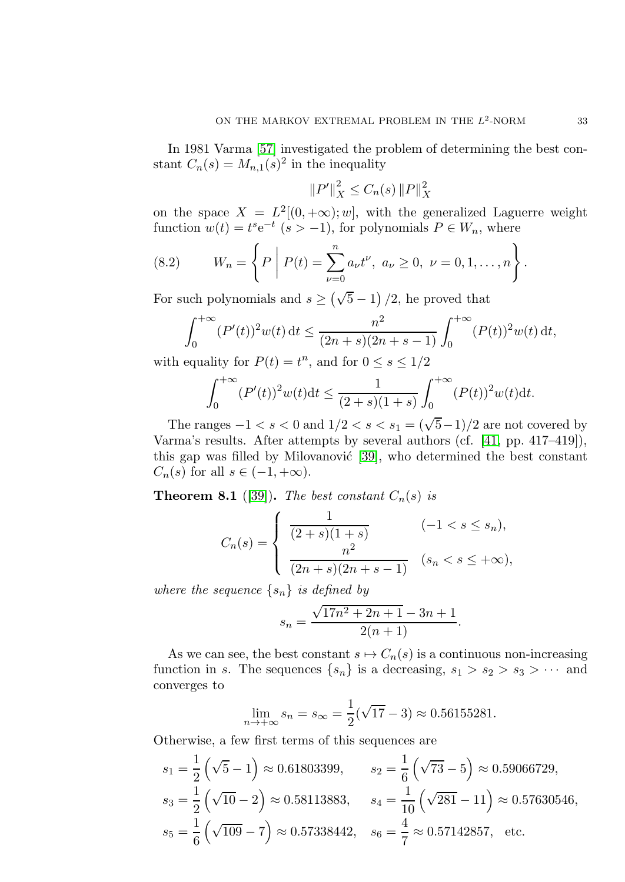In 1981 Varma [\[57\]](#page-35-15) investigated the problem of determining the best constant  $C_n(s) = M_{n,1}(s)^2$  in the inequality

$$
||P'||_X^2 \le C_n(s) ||P||_X^2
$$

on the space  $X = L^2[(0, +\infty); w]$ , with the generalized Laguerre weight function  $w(t) = t^s e^{-t}$   $(s > -1)$ , for polynomials  $P \in W_n$ , where

(8.2) 
$$
W_n = \left\{ P \middle| P(t) = \sum_{\nu=0}^n a_{\nu} t^{\nu}, a_{\nu} \ge 0, \ \nu = 0, 1, ..., n \right\}
$$

For such polynomials and  $s \ge (\sqrt{5} - 1)/2$ , he proved that

$$
\int_0^{+\infty} (P'(t))^2 w(t) dt \le \frac{n^2}{(2n+s)(2n+s-1)} \int_0^{+\infty} (P(t))^2 w(t) dt,
$$
  
conclity for  $P(t) = t^n$ , and for  $0 \le s \le 1/2$ .

with equality for  $P(t) = t<sup>n</sup>$ , and for  $0 \le s \le 1/2$ 

$$
\int_0^{+\infty} (P'(t))^2 w(t) \mathrm{d}t \le \frac{1}{(2+s)(1+s)} \int_0^{+\infty} (P(t))^2 w(t) \mathrm{d}t.
$$

The ranges  $-1 < s < 0$  and  $1/2 < s < s_1 = (\sqrt{5}-1)/2$  are not covered by Varma's results. After attempts by several authors (cf. [\[41,](#page-34-24) pp. 417–419]), this gap was filled by Milovanović [\[39\]](#page-34-25), who determined the best constant  $C_n(s)$  for all  $s \in (-1, +\infty)$ .

**Theorem 8.1** ([\[39\]](#page-34-25)). The best constant  $C_n(s)$  is

$$
C_n(s) = \begin{cases} \frac{1}{(2+s)(1+s)} & (-1 < s \le s_n), \\ \frac{n^2}{(2n+s)(2n+s-1)} & (s_n < s \le +\infty), \end{cases}
$$

where the sequence  $\{s_n\}$  is defined by

$$
s_n = \frac{\sqrt{17n^2 + 2n + 1} - 3n + 1}{2(n+1)}.
$$

As we can see, the best constant  $s \mapsto C_n(s)$  is a continuous non-increasing function in s. The sequences  $\{s_n\}$  is a decreasing,  $s_1 > s_2 > s_3 > \cdots$  and converges to

$$
\lim_{n \to +\infty} s_n = s_{\infty} = \frac{1}{2}(\sqrt{17} - 3) \approx 0.56155281.
$$

Otherwise, a few first terms of this sequences are

$$
s_1 = \frac{1}{2} \left( \sqrt{5} - 1 \right) \approx 0.61803399, \qquad s_2 = \frac{1}{6} \left( \sqrt{73} - 5 \right) \approx 0.59066729,
$$
  
\n
$$
s_3 = \frac{1}{2} \left( \sqrt{10} - 2 \right) \approx 0.58113883, \qquad s_4 = \frac{1}{10} \left( \sqrt{281} - 11 \right) \approx 0.57630546,
$$
  
\n
$$
s_5 = \frac{1}{6} \left( \sqrt{109} - 7 \right) \approx 0.57338442, \quad s_6 = \frac{4}{7} \approx 0.57142857, \text{ etc.}
$$

.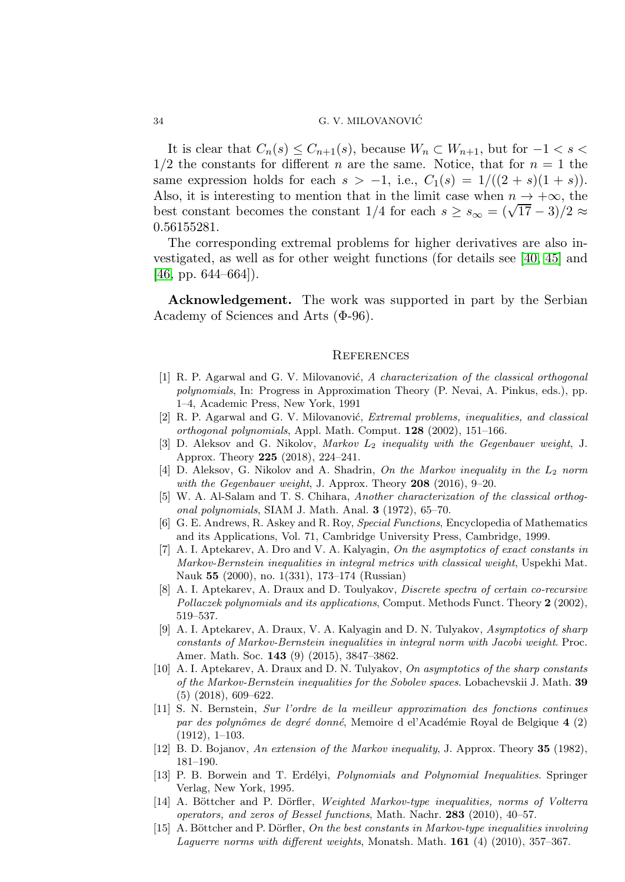It is clear that  $C_n(s) \leq C_{n+1}(s)$ , because  $W_n \subset W_{n+1}$ , but for  $-1 < s <$  $1/2$  the constants for different *n* are the same. Notice, that for  $n = 1$  the same expression holds for each  $s > -1$ , i.e.,  $C_1(s) = 1/((2 + s)(1 + s))$ . Also, it is interesting to mention that in the limit case when  $n \to +\infty$ , the best constant becomes the constant  $1/4$  for each  $s \geq s_{\infty} = (\sqrt{17} - 3)/2 \approx$ 0.56155281.

The corresponding extremal problems for higher derivatives are also investigated, as well as for other weight functions (for details see [\[40,](#page-34-11) [45\]](#page-35-16) and  $[46, pp. 644–664]$  $[46, pp. 644–664]$ .

Acknowledgement. The work was supported in part by the Serbian Academy of Sciences and Arts (Φ-96).

#### **REFERENCES**

- <span id="page-33-4"></span>[1] R. P. Agarwal and G. V. Milovanović,  $A$  characterization of the classical orthogonal polynomials, In: Progress in Approximation Theory (P. Nevai, A. Pinkus, eds.), pp. 1–4, Academic Press, New York, 1991
- <span id="page-33-5"></span>[2] R. P. Agarwal and G. V. Milovanović, *Extremal problems, inequalities, and classical* orthogonal polynomials, Appl. Math. Comput. 128 (2002), 151–166.
- <span id="page-33-13"></span>[3] D. Aleksov and G. Nikolov, Markov L<sup>2</sup> inequality with the Gegenbauer weight, J. Approx. Theory 225 (2018), 224–241.
- <span id="page-33-14"></span>[4] D. Aleksov, G. Nikolov and A. Shadrin, On the Markov inequality in the  $L_2$  norm with the Gegenbauer weight, J. Approx. Theory  $208$  (2016), 9-20.
- <span id="page-33-3"></span>[5] W. A. Al-Salam and T. S. Chihara, Another characterization of the classical orthogonal polynomials, SIAM J. Math. Anal. 3 (1972), 65–70.
- <span id="page-33-6"></span>[6] G. E. Andrews, R. Askey and R. Roy, Special Functions, Encyclopedia of Mathematics and its Applications, Vol. 71, Cambridge University Press, Cambridge, 1999.
- <span id="page-33-9"></span>[7] A. I. Aptekarev, A. Dro and V. A. Kalyagin, On the asymptotics of exact constants in Markov-Bernstein inequalities in integral metrics with classical weight, Uspekhi Mat. Nauk 55 (2000), no. 1(331), 173–174 (Russian)
- <span id="page-33-12"></span>[8] A. I. Aptekarev, A. Draux and D. Toulyakov, Discrete spectra of certain co-recursive Pollaczek polynomials and its applications, Comput. Methods Funct. Theory 2 (2002), 519–537.
- <span id="page-33-10"></span>[9] A. I. Aptekarev, A. Draux, V. A. Kalyagin and D. N. Tulyakov, Asymptotics of sharp constants of Markov-Bernstein inequalities in integral norm with Jacobi weight. Proc. Amer. Math. Soc. 143 (9) (2015), 3847–3862.
- <span id="page-33-11"></span>[10] A. I. Aptekarev, A. Draux and D. N. Tulyakov, On asymptotics of the sharp constants of the Markov-Bernstein inequalities for the Sobolev spaces. Lobachevskii J. Math. 39 (5) (2018), 609–622.
- <span id="page-33-1"></span>[11] S. N. Bernstein, Sur l'ordre de la meilleur approximation des fonctions continues par des polynômes de degré donné, Memoire d el'Académie Royal de Belgique 4 (2) (1912), 1–103.
- <span id="page-33-2"></span><span id="page-33-0"></span>[12] B. D. Bojanov, An extension of the Markov inequality, J. Approx. Theory 35 (1982), 181–190.
- [13] P. B. Borwein and T. Erdélyi, Polynomials and Polynomial Inequalities. Springer Verlag, New York, 1995.
- <span id="page-33-7"></span>[14] A. Böttcher and P. Dörfler, Weighted Markov-type inequalities, norms of Volterra operators, and zeros of Bessel functions, Math. Nachr. 283 (2010), 40–57.
- <span id="page-33-8"></span> $[15]$  A. Böttcher and P. Dörfler, On the best constants in Markov-type inequalities involving Laguerre norms with different weights, Monatsh. Math.  $161$  (4) (2010), 357–367.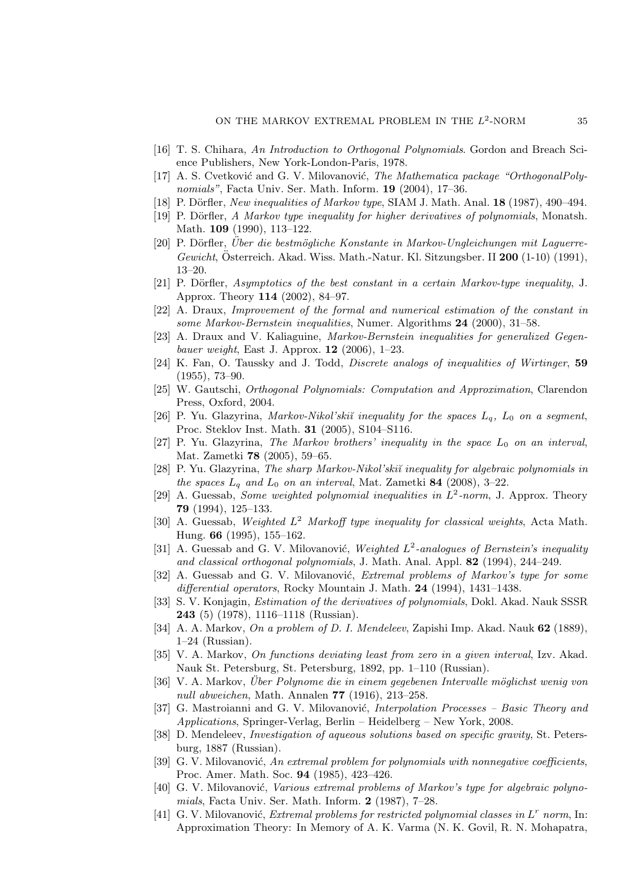- <span id="page-34-22"></span><span id="page-34-8"></span>[16] T. S. Chihara, An Introduction to Orthogonal Polynomials. Gordon and Breach Science Publishers, New York-London-Paris, 1978.
- [17] A. S. Cvetković and G. V. Milovanović, The Mathematica package "OrthogonalPolynomials", Facta Univ. Ser. Math. Inform. 19 (2004), 17–36.
- <span id="page-34-17"></span><span id="page-34-12"></span>[18] P. Dörfler, New inequalities of Markov type, SIAM J. Math. Anal. 18 (1987), 490–494.
- <span id="page-34-13"></span>[19] P. Dörfler, A Markov type inequality for higher derivatives of polynomials, Monatsh. Math. 109 (1990), 113-122.
- [20] P. Dörfler, Uber die bestmögliche Konstante in Markov-Ungleichungen mit Laguerre-Gewicht, Österreich. Akad. Wiss. Math.-Natur. Kl. Sitzungsber. II  $200$  (1-10) (1991), 13–20.
- <span id="page-34-14"></span>[21] P. Dörfler, Asymptotics of the best constant in a certain Markov-type inequality, J. Approx. Theory 114 (2002), 84–97.
- <span id="page-34-15"></span>[22] A. Draux, Improvement of the formal and numerical estimation of the constant in some Markov-Bernstein inequalities, Numer. Algorithms 24 (2000), 31-58.
- <span id="page-34-16"></span>[23] A. Draux and V. Kaliaguine, Markov-Bernstein inequalities for generalized Gegenbauer weight, East J. Approx.  $12$  (2006), 1–23.
- <span id="page-34-23"></span>[24] K. Fan, O. Taussky and J. Todd, *Discrete analogs of inequalities of Wirtinger*, 59 (1955), 73–90.
- <span id="page-34-9"></span>[25] W. Gautschi, Orthogonal Polynomials: Computation and Approximation, Clarendon Press, Oxford, 2004.
- <span id="page-34-5"></span>[26] P. Yu. Glazyrina, Markov-Nikol'skiĭ inequality for the spaces  $L_q$ ,  $L_0$  on a segment, Proc. Steklov Inst. Math. 31 (2005), S104–S116.
- <span id="page-34-6"></span>[27] P. Yu. Glazyrina, The Markov brothers' inequality in the space  $L_0$  on an interval, Mat. Zametki 78 (2005), 59–65.
- <span id="page-34-7"></span>[28] P. Yu. Glazyrina, The sharp Markov-Nikol'ski˘ı inequality for algebraic polynomials in the spaces  $L_q$  and  $L_0$  on an interval, Mat. Zametki 84 (2008), 3-22.
- <span id="page-34-20"></span>[29] A. Guessab, *Some weighted polynomial inequalities in*  $L^2$ -norm, J. Approx. Theory 79 (1994), 125–133.
- <span id="page-34-21"></span>[30] A. Guessab, Weighted  $L^2$  Markoff type inequality for classical weights, Acta Math. Hung. 66 (1995), 155–162.
- <span id="page-34-18"></span>[31] A. Guessab and G. V. Milovanović, Weighted  $L^2$ -analogues of Bernstein's inequality and classical orthogonal polynomials, J. Math. Anal. Appl. 82 (1994), 244–249.
- <span id="page-34-19"></span>[32] A. Guessab and G. V. Milovanović, Extremal problems of Markov's type for some differential operators, Rocky Mountain J. Math. 24 (1994), 1431-1438.
- <span id="page-34-4"></span>[33] S. V. Konjagin, Estimation of the derivatives of polynomials, Dokl. Akad. Nauk SSSR 243 (5) (1978), 1116–1118 (Russian).
- <span id="page-34-1"></span>[34] A. A. Markov, On a problem of D. I. Mendeleev, Zapishi Imp. Akad. Nauk 62 (1889), 1–24 (Russian).
- <span id="page-34-2"></span>[35] V. A. Markov, On functions deviating least from zero in a given interval, Izv. Akad. Nauk St. Petersburg, St. Petersburg, 1892, pp. 1–110 (Russian).
- <span id="page-34-3"></span>[36] V. A. Markov, Über Polynome die in einem gegebenen Intervalle möglichst wenig von null abweichen, Math. Annalen 77 (1916), 213–258.
- <span id="page-34-10"></span>[37] G. Mastroianni and G. V. Milovanović, *Interpolation Processes – Basic Theory and* Applications, Springer-Verlag, Berlin – Heidelberg – New York, 2008.
- <span id="page-34-0"></span>[38] D. Mendeleev, *Investigation of aqueous solutions based on specific gravity*, St. Petersburg, 1887 (Russian).
- <span id="page-34-25"></span>[39] G. V. Milovanović, An extremal problem for polynomials with nonnegative coefficients, Proc. Amer. Math. Soc. 94 (1985), 423–426.
- <span id="page-34-11"></span>[40] G. V. Milovanović, *Various extremal problems of Markov's type for algebraic polyno*mials, Facta Univ. Ser. Math. Inform. 2 (1987), 7–28.
- <span id="page-34-24"></span>[41] G. V. Milovanović, Extremal problems for restricted polynomial classes in  $L^r$  norm, In: Approximation Theory: In Memory of A. K. Varma (N. K. Govil, R. N. Mohapatra,